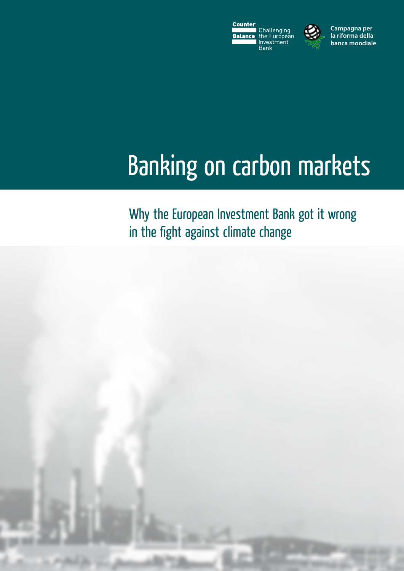



**Campagna per la riforma della banca mondiale**

# Banking on carbon markets

Why the European Investment Bank got it wrong in the fight against climate change

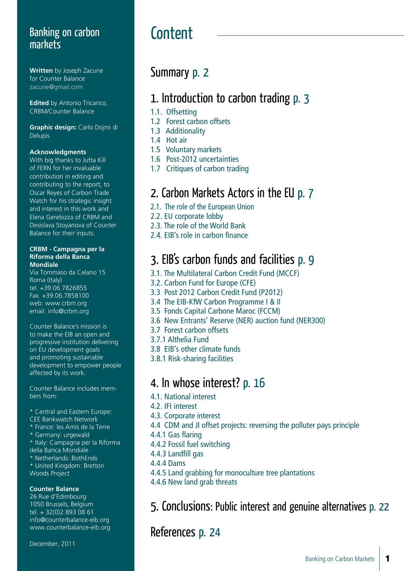### Banking on carbon **Content** markets

**Written** by Joseph Zacune for Counter Balance zacune@gmail.com

**Edited** by Antonio Tricarico. CRBM/Counter Balance

**Graphic design:** Carlo Dojmi di Delupis

#### **Acknowledgments**

With big thanks to Jutta Kill of FERN for her invaluable contribution in editing and contributing to the report, to Oscar Reyes of Carbon Trade Watch for his strategic insight and interest in this work and Elena Gerebizza of CRBM and Desislava Stoyanova of Counter Balance for their inputs.

#### **CRBM - Campagna per la Riforma della Banca Mondiale**

Via Tommaso da Celano 15 Roma (Italy) tel. +39.06.7826855 Fax. +39.06.7858100 web: www.crbm.org email: info@crbm.org

Counter Balance's mission is to make the EIB an open and progressive institution delivering on EU development goals and promoting sustainable development to empower people affected by its work.

Counter Balance includes members from:

- \* Central and Eastern Europe:
- CEE Bankwatch Network
- \* France: les Amis de la Terre
- \* Germany: urgewald
- \* Italy: Campagna per la Riforma
- della Banca Mondiale
- \* Netherlands: BothEnds
- \* United Kingdom: Bretton Woods Project

#### **Counter Balance**

26 Rue d'Edimbourg 1050 Brussels, Belgium tel. + 32(0)2 893 08 61 info@counterbalance-eib.org www.counterbalance-eib.org

December, 2011

### Summary p. 2

### 1. Introduction to carbon trading p. 3

- 1.1. Offsetting
- 1.2 Forest carbon offsets
- 1.3 Additionality
- 1.4 Hot air
- 1.5 Voluntary markets
- 1.6 Post-2012 uncertainties
- 1.7 Critiques of carbon trading

### 2. Carbon Markets Actors in the EU p. 7

- 2.1. The role of the European Union
- 2.2. EU corporate lobby
- 2.3. The role of the World Bank
- 2.4. EIB's role in carbon finance

### 3. EIB's carbon funds and facilities p. 9

- 3.1. The Multilateral Carbon Credit Fund (MCCF)
- 3.2. Carbon Fund for Europe (CFE)
- 3.3 Post 2012 Carbon Credit Fund (P2012)
- 3.4 The EIB-KfW Carbon Programme I & II
- 3.5 Fonds Capital Carbone Maroc (FCCM)
- 3.6 New Entrants' Reserve (NER) auction fund (NER300)
- 3.7 Forest carbon offsets
- 3.7.1 Althelia Fund
- 3.8 EIB's other climate funds
- 3.8.1 Risk-sharing facilities

### 4. In whose interest? p. 16

- 4.1. National interest
- 4.2. IFI interest
- 4.3. Corporate interest
- 4.4 CDM and JI offset projects: reversing the polluter pays principle
- 4.4.1 Gas flaring
- 4.4.2 Fossil fuel switching
- 4.4.3 Landfill gas
- 4.4.4 Dams
- 4.4.5 Land grabbing for monoculture tree plantations
- 4.4.6 New land grab threats

5. Conclusions: Public interest and genuine alternatives p. 22

References p. 24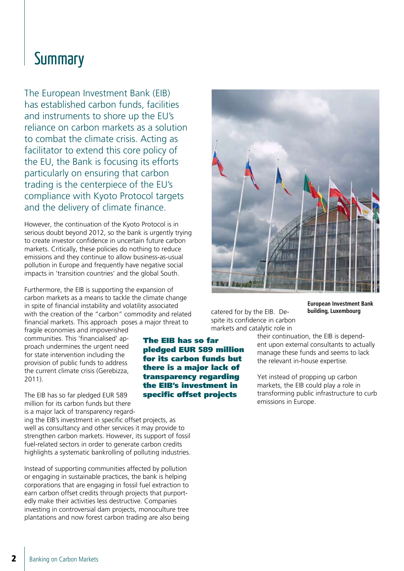### **Summary**

The European Investment Bank (EIB) has established carbon funds, facilities and instruments to shore up the EU's reliance on carbon markets as a solution to combat the climate crisis. Acting as facilitator to extend this core policy of the EU, the Bank is focusing its efforts particularly on ensuring that carbon trading is the centerpiece of the EU's compliance with Kyoto Protocol targets and the delivery of climate finance.

However, the continuation of the Kyoto Protocol is in serious doubt beyond 2012, so the bank is urgently trying to create investor confidence in uncertain future carbon markets. Critically, these policies do nothing to reduce emissions and they continue to allow business-as-usual pollution in Europe and frequently have negative social impacts in 'transition countries' and the global South.

Furthermore, the EIB is supporting the expansion of carbon markets as a means to tackle the climate change in spite of financial instability and volatility associated with the creation of the "carbon" commodity and related financial markets. This approach poses a major threat to

fragile economies and impoverished communities. This 'financialised' approach undermines the urgent need for state intervention including the provision of public funds to address the current climate crisis (Gerebizza, 2011).

The EIB has so far pledged EUR 589 million for its carbon funds but there is a major lack of transparency regard-

ing the EIB's investment in specific offset projects, as well as consultancy and other services it may provide to strengthen carbon markets. However, its support of fossil fuel-related sectors in order to generate carbon credits highlights a systematic bankrolling of polluting industries.

Instead of supporting communities affected by pollution or engaging in sustainable practices, the bank is helping corporations that are engaging in fossil fuel extraction to earn carbon offset credits through projects that purportedly make their activities less destructive. Companies investing in controversial dam projects, monoculture tree plantations and now forest carbon trading are also being



catered for by the EIB. Despite its confidence in carbon markets and catalytic role in

**European Investment Bank building, Luxembourg**

their continuation, the EIB is dependent upon external consultants to actually manage these funds and seems to lack the relevant in-house expertise.

Yet instead of propping up carbon markets, the EIB could play a role in transforming public infrastructure to curb emissions in Europe.

The EIB has so far pledged EUR 589 million for its carbon funds but there is a major lack of transparency regarding the EIB's investment in specific offset projects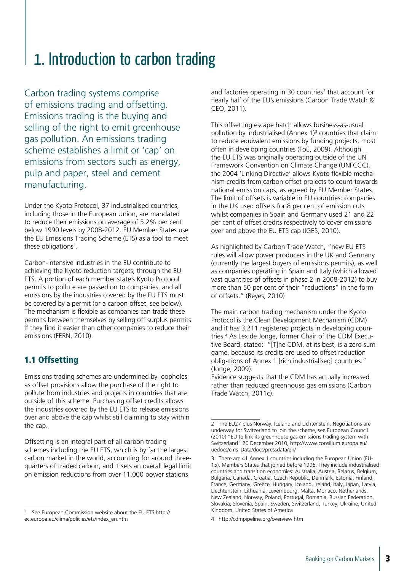### 1. Introduction to carbon trading

Carbon trading systems comprise of emissions trading and offsetting. Emissions trading is the buying and selling of the right to emit greenhouse gas pollution. An emissions trading scheme establishes a limit or 'cap' on emissions from sectors such as energy, pulp and paper, steel and cement manufacturing.

Under the Kyoto Protocol, 37 industrialised countries, including those in the European Union, are mandated to reduce their emissions on average of 5.2% per cent below 1990 levels by 2008-2012. EU Member States use the EU Emissions Trading Scheme (ETS) as a tool to meet these obligations<sup>1</sup>.

Carbon-intensive industries in the EU contribute to achieving the Kyoto reduction targets, through the EU ETS. A portion of each member state's Kyoto Protocol permits to pollute are passed on to companies, and all emissions by the industries covered by the EU ETS must be covered by a permit (or a carbon offset, see below). The mechanism is flexible as companies can trade these permits between themselves by selling off surplus permits if they find it easier than other companies to reduce their emissions (FERN, 2010).

#### 1.1 Offsetting

Emissions trading schemes are undermined by loopholes as offset provisions allow the purchase of the right to pollute from industries and projects in countries that are outside of this scheme. Purchasing offset credits allows the industries covered by the EU ETS to release emissions over and above the cap whilst still claiming to stay within the cap.

Offsetting is an integral part of all carbon trading schemes including the EU ETS, which is by far the largest carbon market in the world, accounting for around threequarters of traded carbon, and it sets an overall legal limit on emission reductions from over 11,000 power stations

and factories operating in 30 countries<sup>2</sup> that account for nearly half of the EU's emissions (Carbon Trade Watch & CEO, 2011).

This offsetting escape hatch allows business-as-usual pollution by industrialised (Annex 1)<sup>3</sup> countries that claim to reduce equivalent emissions by funding projects, most often in developing countries (FoE, 2009). Although the EU ETS was originally operating outside of the UN Framework Convention on Climate Change (UNFCCC), the 2004 'Linking Directive' allows Kyoto flexible mechanism credits from carbon offset projects to count towards national emission caps, as agreed by EU Member States. The limit of offsets is variable in EU countries: companies in the UK used offsets for 8 per cent of emission cuts whilst companies in Spain and Germany used 21 and 22 per cent of offset credits respectively to cover emissions over and above the EU ETS cap (IGES, 2010).

As highlighted by Carbon Trade Watch, "new EU ETS rules will allow power producers in the UK and Germany (currently the largest buyers of emissions permits), as well as companies operating in Spain and Italy (which allowed vast quantities of offsets in phase 2 in 2008-2012) to buy more than 50 per cent of their "reductions" in the form of offsets." (Reyes, 2010)

The main carbon trading mechanism under the Kyoto Protocol is the Clean Development Mechanism (CDM) and it has 3,211 registered projects in developing countries.4 As Lex de Jonge, former Chair of the CDM Executive Board, stated: "[T]he CDM, at its best, is a zero sum game, because its credits are used to offset reduction obligations of Annex 1 [rich industrialised] countries." (Jonge, 2009).

Evidence suggests that the CDM has actually increased rather than reduced greenhouse gas emissions (Carbon Trade Watch, 2011c).

<sup>1</sup> See European Commission website about the EU ETS http://

ec.europa.eu/clima/policies/ets/index\_en.htm

<sup>2</sup> The EU27 plus Norway, Iceland and Lichtenstein. Negotiations are underway for Switzerland to join the scheme, see European Council (2010) "EU to link its greenhouse gas emissions trading system with Switzerland" 20 December 2010, http://www.consilium.europa.eu/ uedocs/cms\_Data/docs/pressdata/en/

<sup>3</sup> There are 41 Annex 1 countries including the European Union (EU-15), Members States that joined before 1996. They include industrialised countries and transition economies: Australia, Austria, Belarus, Belgium, Bulgaria, Canada, Croatia, Czech Republic, Denmark, Estonia, Finland, France, Germany, Greece, Hungary, Iceland, Ireland, Italy, Japan, Latvia, Liechtenstein, Lithuania, Luxembourg, Malta, Monaco, Netherlands, New Zealand, Norway, Poland, Portugal, Romania, Russian Federation, Slovakia, Slovenia, Spain, Sweden, Switzerland, Turkey, Ukraine, United Kingdom, United States of America

<sup>4</sup> http://cdmpipeline.org/overview.htm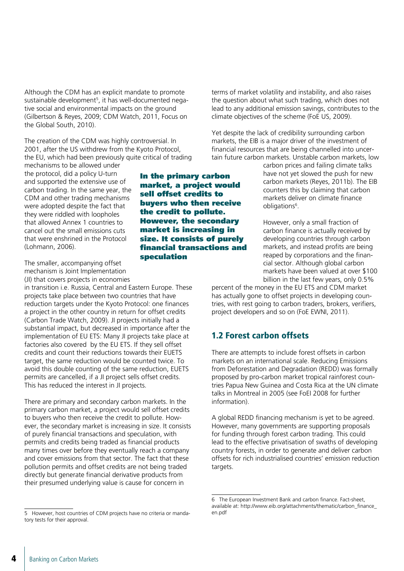Although the CDM has an explicit mandate to promote sustainable development<sup>5</sup>, it has well-documented negative social and environmental impacts on the ground (Gilbertson & Reyes, 2009; CDM Watch, 2011, Focus on the Global South, 2010).

The creation of the CDM was highly controversial. In 2001, after the US withdrew from the Kyoto Protocol, the EU, which had been previously quite critical of trading

mechanisms to be allowed under the protocol, did a policy U-turn and supported the extensive use of carbon trading. In the same year, the CDM and other trading mechanisms were adopted despite the fact that they were riddled with loopholes that allowed Annex 1 countries to cancel out the small emissions cuts that were enshrined in the Protocol (Lohmann, 2006).

The smaller, accompanying offset mechanism is Joint Implementation (JI) that covers projects in economies

in transition i.e. Russia, Central and Eastern Europe. These projects take place between two countries that have reduction targets under the Kyoto Protocol: one finances a project in the other country in return for offset credits (Carbon Trade Watch, 2009). JI projects initially had a substantial impact, but decreased in importance after the implementation of EU ETS: Many JI projects take place at factories also covered by the EU ETS. If they sell offset credits and count their reductions towards their EUETS target, the same reduction would be counted twice. To avoid this double counting of the same reduction, EUETS permits are cancelled, if a JI project sells offset credits. This has reduced the interest in JI projects.

There are primary and secondary carbon markets. In the primary carbon market, a project would sell offset credits to buyers who then receive the credit to pollute. However, the secondary market is increasing in size. It consists of purely financial transactions and speculation, with permits and credits being traded as financial products many times over before they eventually reach a company and cover emissions from that sector. The fact that these pollution permits and offset credits are not being traded directly but generate financial derivative products from their presumed underlying value is cause for concern in

terms of market volatility and instability, and also raises the question about what such trading, which does not lead to any additional emission savings, contributes to the climate objectives of the scheme (FoE US, 2009).

Yet despite the lack of credibility surrounding carbon markets, the EIB is a major driver of the investment of financial resources that are being channelled into uncertain future carbon markets. Unstable carbon markets, low

> carbon prices and failing climate talks have not yet slowed the push for new carbon markets (Reyes, 2011b). The EIB counters this by claiming that carbon markets deliver on climate finance obligations<sup>6</sup>.

> However, only a small fraction of carbon finance is actually received by developing countries through carbon markets, and instead profits are being reaped by corporations and the financial sector. Although global carbon markets have been valued at over \$100 billion in the last few years, only 0.5%

percent of the money in the EU ETS and CDM market has actually gone to offset projects in developing countries, with rest going to carbon traders, brokers, verifiers, project developers and so on (FoE EWNI, 2011).

#### 1.2 Forest carbon offsets

There are attempts to include forest offsets in carbon markets on an international scale. Reducing Emissions from Deforestation and Degradation (REDD) was formally proposed by pro-carbon market tropical rainforest countries Papua New Guinea and Costa Rica at the UN climate talks in Montreal in 2005 (see FoEI 2008 for further information).

A global REDD financing mechanism is yet to be agreed. However, many governments are supporting proposals for funding through forest carbon trading. This could lead to the effective privatisation of swaths of developing country forests, in order to generate and deliver carbon offsets for rich industrialised countries' emission reduction targets.

financial transactions and speculation

In the primary carbon market, a project would sell offset credits to buyers who then receive the credit to pollute. However, the secondary market is increasing in size. It consists of purely

<sup>5</sup> However, host countries of CDM projects have no criteria or mandatory tests for their approval.

<sup>6</sup> The European Investment Bank and carbon finance. Fact-sheet, available at: http://www.eib.org/attachments/thematic/carbon\_finance\_ en.pdf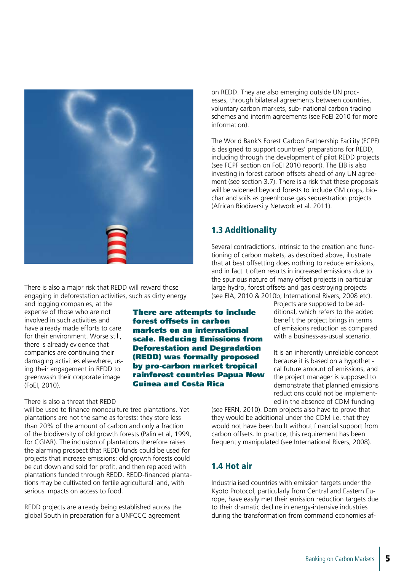

engaging in deforestation activities, such as dirty energy and logging companies, at the expense of those who are not

There is also a major risk that REDD will reward those

involved in such activities and have already made efforts to care for their environment. Worse still, there is already evidence that companies are continuing their damaging activities elsewhere, using their engagement in REDD to greenwash their corporate image (FoEI, 2010).

#### There is also a threat that REDD

will be used to finance monoculture tree plantations. Yet plantations are not the same as forests: they store less than 20% of the amount of carbon and only a fraction of the biodiversity of old growth forests (Palin et al, 1999, for CGIAR). The inclusion of plantations therefore raises the alarming prospect that REDD funds could be used for projects that increase emissions: old growth forests could be cut down and sold for profit, and then replaced with plantations funded through REDD. REDD-financed plantations may be cultivated on fertile agricultural land, with serious impacts on access to food.

REDD projects are already being established across the global South in preparation for a UNFCCC agreement

on REDD. They are also emerging outside UN processes, through bilateral agreements between countries, voluntary carbon markets, sub- national carbon trading schemes and interim agreements (see FoEI 2010 for more information).

The World Bank's Forest Carbon Partnership Facility (FCPF) is designed to support countries' preparations for REDD, including through the development of pilot REDD projects (see FCPF section on FoEI 2010 report). The EIB is also investing in forest carbon offsets ahead of any UN agreement (see section 3.7). There is a risk that these proposals will be widened beyond forests to include GM crops, biochar and soils as greenhouse gas sequestration projects (African Biodiversity Network et al. 2011).

#### 1.3 Additionality

Several contradictions, intrinsic to the creation and functioning of carbon makets, as described above, illustrate that at best offsetting does nothing to reduce emissions, and in fact it often results in increased emissions due to the spurious nature of many offset projects in particular large hydro, forest offsets and gas destroying projects (see EIA, 2010 & 2010b; International Rivers, 2008 etc).

> Projects are supposed to be additional, which refers to the added benefit the project brings in terms of emissions reduction as compared with a business-as-usual scenario.

> It is an inherently unreliable concept because it is based on a hypothetical future amount of emissions, and the project manager is supposed to demonstrate that planned emissions reductions could not be implemented in the absence of CDM funding

(see FERN, 2010). Dam projects also have to prove that they would be additional under the CDM i.e. that they would not have been built without financial support from carbon offsets. In practice, this requirement has been frequently manipulated (see International Rivers, 2008).

#### 1.4 Hot air

Industrialised countries with emission targets under the Kyoto Protocol, particularly from Central and Eastern Europe, have easily met their emission reduction targets due to their dramatic decline in energy-intensive industries during the transformation from command economies af-

There are attempts to include forest offsets in carbon markets on an international scale. Reducing Emissions from Deforestation and Degradation (REDD) was formally proposed by pro-carbon market tropical rainforest countries Papua New

Guinea and Costa Rica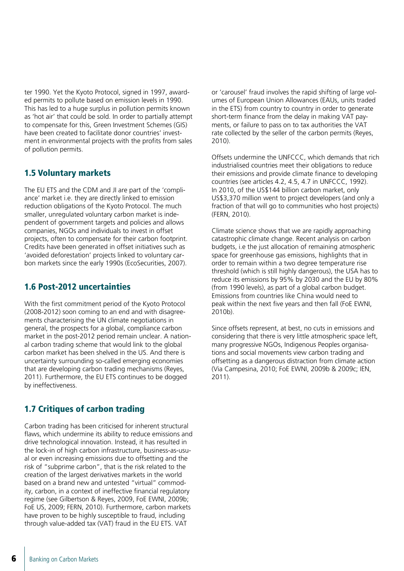ter 1990. Yet the Kyoto Protocol, signed in 1997, awarded permits to pollute based on emission levels in 1990. This has led to a huge surplus in pollution permits known as 'hot air' that could be sold. In order to partially attempt to compensate for this, Green Investment Schemes (GIS) have been created to facilitate donor countries' investment in environmental projects with the profits from sales of pollution permits.

#### 1.5 Voluntary markets

The EU ETS and the CDM and JI are part of the 'compliance' market i.e. they are directly linked to emission reduction obligations of the Kyoto Protocol. The much smaller, unregulated voluntary carbon market is independent of government targets and policies and allows companies, NGOs and individuals to invest in offset projects, often to compensate for their carbon footprint. Credits have been generated in offset initiatives such as 'avoided deforestation' projects linked to voluntary carbon markets since the early 1990s (EcoSecurities, 2007).

#### 1.6 Post-2012 uncertainties

With the first commitment period of the Kyoto Protocol (2008-2012) soon coming to an end and with disagreements characterising the UN climate negotiations in general, the prospects for a global, compliance carbon market in the post-2012 period remain unclear. A national carbon trading scheme that would link to the global carbon market has been shelved in the US. And there is uncertainty surrounding so-called emerging economies that are developing carbon trading mechanisms (Reyes, 2011). Furthermore, the EU ETS continues to be dogged by ineffectiveness.

#### 1.7 Critiques of carbon trading

Carbon trading has been criticised for inherent structural flaws, which undermine its ability to reduce emissions and drive technological innovation. Instead, it has resulted in the lock-in of high carbon infrastructure, business-as-usual or even increasing emissions due to offsetting and the risk of "subprime carbon", that is the risk related to the creation of the largest derivatives markets in the world based on a brand new and untested "virtual" commodity, carbon, in a context of ineffective financial regulatory regime (see Gilbertson & Reyes, 2009, FoE EWNI, 2009b; FoE US, 2009; FERN, 2010). Furthermore, carbon markets have proven to be highly susceptible to fraud, including through value-added tax (VAT) fraud in the EU ETS. VAT

or 'carousel' fraud involves the rapid shifting of large volumes of European Union Allowances (EAUs, units traded in the ETS) from country to country in order to generate short-term finance from the delay in making VAT payments, or failure to pass on to tax authorities the VAT rate collected by the seller of the carbon permits (Reyes, 2010).

Offsets undermine the UNFCCC, which demands that rich industrialised countries meet their obligations to reduce their emissions and provide climate finance to developing countries (see articles 4.2, 4.5, 4.7 in UNFCCC, 1992). In 2010, of the US\$144 billion carbon market, only US\$3,370 million went to project developers (and only a fraction of that will go to communities who host projects) (FERN, 2010).

Climate science shows that we are rapidly approaching catastrophic climate change. Recent analysis on carbon budgets, i.e the just allocation of remaining atmospheric space for greenhouse gas emissions, highlights that in order to remain within a two degree temperature rise threshold (which is still highly dangerous), the USA has to reduce its emissions by 95% by 2030 and the EU by 80% (from 1990 levels), as part of a global carbon budget. Emissions from countries like China would need to peak within the next five years and then fall (FoE EWNI, 2010b).

Since offsets represent, at best, no cuts in emissions and considering that there is very little atmospheric space left, many progressive NGOs, Indigenous Peoples organisations and social movements view carbon trading and offsetting as a dangerous distraction from climate action (Via Campesina, 2010; FoE EWNI, 2009b & 2009c; IEN, 2011).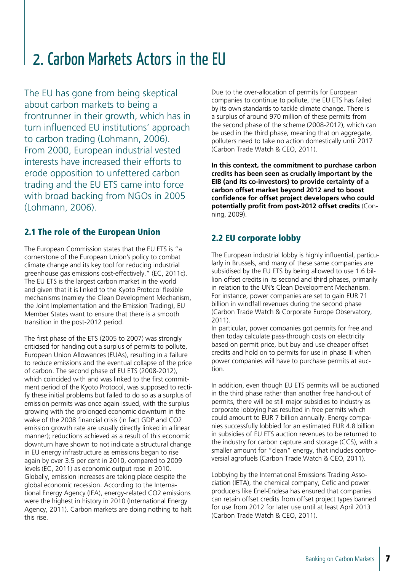### 2. Carbon Markets Actors in the EU

The EU has gone from being skeptical about carbon markets to being a frontrunner in their growth, which has in turn influenced EU institutions' approach to carbon trading (Lohmann, 2006). From 2000, European industrial vested interests have increased their efforts to erode opposition to unfettered carbon trading and the EU ETS came into force with broad backing from NGOs in 2005 (Lohmann, 2006).

#### 2.1 The role of the European Union

The European Commission states that the EU ETS is "a cornerstone of the European Union's policy to combat climate change and its key tool for reducing industrial greenhouse gas emissions cost-effectively." (EC, 2011c). The EU ETS is the largest carbon market in the world and given that it is linked to the Kyoto Protocol flexible mechanisms (namley the Clean Development Mechanism, the Joint Implementation and the Emission Trading), EU Member States want to ensure that there is a smooth transition in the post-2012 period.

The first phase of the ETS (2005 to 2007) was strongly criticised for handing out a surplus of permits to pollute, European Union Allowances (EUAs), resulting in a failure to reduce emissions and the eventual collapse of the price of carbon. The second phase of EU ETS (2008-2012), which coincided with and was linked to the first commitment period of the Kyoto Protocol, was supposed to rectify these initial problems but failed to do so as a surplus of emission permits was once again issued, with the surplus growing with the prolonged economic downturn in the wake of the 2008 financial crisis (in fact GDP and CO2 emission growth rate are usually directly linked in a linear manner); reductions achieved as a result of this economic downturn have shown to not indicate a structural change in EU energy infrastructure as emissions began to rise again by over 3.5 per cent in 2010, compared to 2009 levels (EC, 2011) as economic output rose in 2010. Globally, emission increases are taking place despite the global economic recession. According to the International Energy Agency (IEA), energy-related CO2 emissions were the highest in history in 2010 (International Energy Agency, 2011). Carbon markets are doing nothing to halt this rise.

Due to the over-allocation of permits for European companies to continue to pollute, the EU ETS has failed by its own standards to tackle climate change. There is a surplus of around 970 million of these permits from the second phase of the scheme (2008-2012), which can be used in the third phase, meaning that on aggregate, polluters need to take no action domestically until 2017 (Carbon Trade Watch & CEO, 2011).

**In this context, the commitment to purchase carbon credits has been seen as crucially important by the EIB (and its co-investors) to provide certainty of a carbon offset market beyond 2012 and to boost confidence for offset project developers who could potentially profit from post-2012 offset credits** (Conning, 2009).

#### 2.2 EU corporate lobby

The European industrial lobby is highly influential, particularly in Brussels, and many of these same companies are subsidised by the EU ETS by being allowed to use 1.6 billion offset credits in its second and third phases, primarily in relation to the UN's Clean Development Mechanism. For instance, power companies are set to gain EUR 71 billion in windfall revenues during the second phase (Carbon Trade Watch & Corporate Europe Observatory, 2011).

In particular, power companies got permits for free and then today calculate pass-through costs on electricity based on permit price, but buy and use cheaper offset credits and hold on to permits for use in phase III when power companies will have to purchase permits at auction.

In addition, even though EU ETS permits will be auctioned in the third phase rather than another free hand-out of permits, there will be still major subsidies to industry as corporate lobbying has resulted in free permits which could amount to EUR 7 billion annually. Energy companies successfully lobbied for an estimated EUR 4.8 billion in subsidies of EU ETS auction revenues to be returned to the industry for carbon capture and storage (CCS), with a smaller amount for "clean" energy, that includes controversial agrofuels (Carbon Trade Watch & CEO, 2011).

Lobbying by the International Emissions Trading Association (IETA), the chemical company, Cefic and power producers like Enel-Endesa has ensured that companies can retain offset credits from offset project types banned for use from 2012 for later use until at least April 2013 (Carbon Trade Watch & CEO, 2011).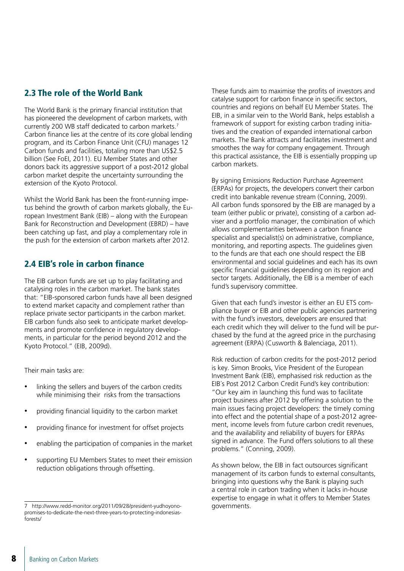#### 2.3 The role of the World Bank

The World Bank is the primary financial institution that has pioneered the development of carbon markets, with currently 200 WB staff dedicated to carbon markets.7 Carbon finance lies at the centre of its core global lending program, and its Carbon Finance Unit (CFU) manages 12 Carbon funds and facilities, totaling more than US\$2.5 billion (See FoEI, 2011). EU Member States and other donors back its aggressive support of a post-2012 global carbon market despite the uncertainty surrounding the extension of the Kyoto Protocol.

Whilst the World Bank has been the front-running impetus behind the growth of carbon markets globally, the European Investment Bank (EIB) – along with the European Bank for Reconstruction and Development (EBRD) – have been catching up fast, and play a complementary role in the push for the extension of carbon markets after 2012.

#### 2.4 EIB's role in carbon finance

The EIB carbon funds are set up to play facilitating and catalysing roles in the carbon market. The bank states that: "EIB-sponsored carbon funds have all been designed to extend market capacity and complement rather than replace private sector participants in the carbon market. EIB carbon funds also seek to anticipate market developments and promote confidence in regulatory developments, in particular for the period beyond 2012 and the Kyoto Protocol." (EIB, 2009d).

Their main tasks are:

- linking the sellers and buyers of the carbon credits while minimising their risks from the transactions
- providing financial liquidity to the carbon market
- providing finance for investment for offset projects
- enabling the participation of companies in the market
- supporting EU Members States to meet their emission reduction obligations through offsetting.

These funds aim to maximise the profits of investors and catalyse support for carbon finance in specific sectors, countries and regions on behalf EU Member States. The EIB, in a similar vein to the World Bank, helps establish a framework of support for existing carbon trading initiatives and the creation of expanded international carbon markets. The Bank attracts and facilitates investment and smoothes the way for company engagement. Through this practical assistance, the EIB is essentially propping up carbon markets.

By signing Emissions Reduction Purchase Agreement (ERPAs) for projects, the developers convert their carbon credit into bankable revenue stream (Conning, 2009). All carbon funds sponsored by the EIB are managed by a team (either public or private), consisting of a carbon adviser and a portfolio manager, the combination of which allows complementarities between a carbon finance specialist and specialist(s) on administrative, compliance, monitoring, and reporting aspects. The guidelines given to the funds are that each one should respect the EIB environmental and social guidelines and each has its own specific financial guidelines depending on its region and sector targets. Additionally, the EIB is a member of each fund's supervisory committee.

Given that each fund's investor is either an EU ETS compliance buyer or EIB and other public agencies partnering with the fund's investors, developers are ensured that each credit which they will deliver to the fund will be purchased by the fund at the agreed price in the purchasing agreement (ERPA) (Cusworth & Balenciaga, 2011).

Risk reduction of carbon credits for the post-2012 period is key. Simon Brooks, Vice President of the European Investment Bank (EIB), emphasised risk reduction as the EIB´s Post 2012 Carbon Credit Fund's key contribution: "Our key aim in launching this fund was to facilitate project business after 2012 by offering a solution to the main issues facing project developers: the timely coming into effect and the potential shape of a post-2012 agreement, income levels from future carbon credit revenues, and the availability and reliability of buyers for ERPAs signed in advance. The Fund offers solutions to all these problems." (Conning, 2009).

As shown below, the EIB in fact outsources significant management of its carbon funds to external consultants, bringing into questions why the Bank is playing such a central role in carbon trading when it lacks in-house expertise to engage in what it offers to Member States governments.

<sup>7</sup> http://www.redd-monitor.org/2011/09/28/president-yudhoyonopromises-to-dedicate-the-next-three-years-to-protecting-indonesiasforests/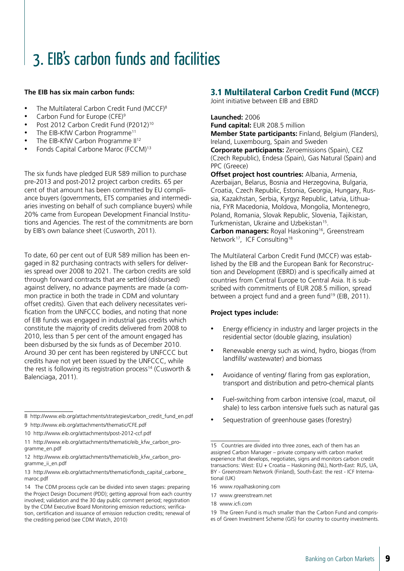## 3. EIB's carbon funds and facilities

#### **The EIB has six main carbon funds:**

- The Multilateral Carbon Credit Fund (MCCF) $8$
- Carbon Fund for Europe (CFE) $9$
- Post 2012 Carbon Credit Fund (P2012)<sup>10</sup>
- The EIB-KfW Carbon Programme<sup>11</sup>
- The EIB-KfW Carbon Programme II<sup>12</sup>
- Fonds Capital Carbone Maroc (FCCM)<sup>13</sup>

The six funds have pledged EUR 589 million to purchase pre-2013 and post-2012 project carbon credits. 65 per cent of that amount has been committed by EU compliance buyers (governments, ETS companies and intermediaries investing on behalf of such compliance buyers) while 20% came from European Development Financial Institutions and Agencies. The rest of the commitments are born by EIB's own balance sheet (Cusworth, 2011).

To date, 60 per cent out of EUR 589 million has been engaged in 82 purchasing contracts with sellers for deliveries spread over 2008 to 2021. The carbon credits are sold through forward contracts that are settled (disbursed) against delivery, no advance payments are made (a common practice in both the trade in CDM and voluntary offset credits). Given that each delivery necessitates verification from the UNFCCC bodies, and noting that none of EIB funds was engaged in industrial gas credits which constitute the majority of credits delivered from 2008 to 2010, less than 5 per cent of the amount engaged has been disbursed by the six funds as of December 2010. Around 30 per cent has been registered by UNFCCC but credits have not yet been issued by the UNFCCC, while the rest is following its registration process<sup>14</sup> (Cusworth & Balenciaga, 2011).

8 http://www.eib.org/attachments/strategies/carbon\_credit\_fund\_en.pdf

10 http://www.eib.org/attachments/post-2012-ccf.pdf

11 http://www.eib.org/attachments/thematic/eib\_kfw\_carbon\_programme\_en.pdf

#### 3.1 Multilateral Carbon Credit Fund (MCCF)

Joint initiative between EIB and EBRD

**Launched:** 2006

**Fund capital:** EUR 208.5 million **Member State participants:** Finland, Belgium (Flanders), Ireland, Luxembourg, Spain and Sweden **Corporate participants:** Zeroemissions (Spain), CEZ

(Czech Republic), Endesa (Spain), Gas Natural (Spain) and PPC (Greece)

**Offset project host countries:** Albania, Armenia, Azerbaijan, Belarus, Bosnia and Herzegovina, Bulgaria, Croatia, Czech Republic, Estonia, Georgia, Hungary, Russia, Kazakhstan, Serbia, Kyrgyz Republic, Latvia, Lithuania, FYR Macedonia, Moldova, Mongolia, Montenegro, Poland, Romania, Slovak Republic, Slovenia, Tajikistan, Turkmenistan, Ukraine and Uzbekistan<sup>15</sup>.

**Carbon managers:** Royal Haskoning<sup>16</sup>, Greenstream Network<sup>17</sup>, ICF Consulting<sup>18</sup>

The Multilateral Carbon Credit Fund (MCCF) was established by the EIB and the European Bank for Reconstruction and Development (EBRD) and is specifically aimed at countries from Central Europe to Central Asia. It is subscribed with commitments of EUR 208.5 million, spread between a project fund and a green fund<sup>19</sup> (EIB, 2011).

#### **Project types include:**

- Energy efficiency in industry and larger projects in the residential sector (double glazing, insulation)
- Renewable energy such as wind, hydro, biogas (from landfills/ wastewater) and biomass
- Avoidance of venting/ flaring from gas exploration. transport and distribution and petro-chemical plants
- Fuel-switching from carbon intensive (coal, mazut, oil shale) to less carbon intensive fuels such as natural gas
- Sequestration of greenhouse gases (forestry)

17 www.greenstream.net

<sup>9</sup> http://www.eib.org/attachments/thematic/CFE.pdf

<sup>12</sup> http://www.eib.org/attachments/thematic/eib\_kfw\_carbon\_programme\_ii\_en.pdf

<sup>13</sup> http://www.eib.org/attachments/thematic/fonds\_capital\_carbone\_ maroc.pdf

<sup>14</sup> The CDM process cycle can be divided into seven stages: preparing the Project Design Document (PDD); getting approval from each country involved; validation and the 30 day public comment period; registration by the CDM Executive Board Monitoring emission reductions; verification, certification and issuance of emission reduction credits; renewal of the crediting period (see CDM Watch, 2010)

<sup>15</sup> Countries are divided into three zones, each of them has an assigned Carbon Manager – private company with carbon market experience that develops, negotiates, signs and monitors carbon credit transactions: West: EU + Croatia – Haskoning (NL), North-East: RUS, UA, BY - Greenstream Network (Finland), South-East: the rest - ICF International (UK)

<sup>16</sup> www.royalhaskoning.com

<sup>18</sup> www.icfi.com

<sup>19</sup> The Green Fund is much smaller than the Carbon Fund and comprises of Green Investment Scheme (GIS) for country to country investments.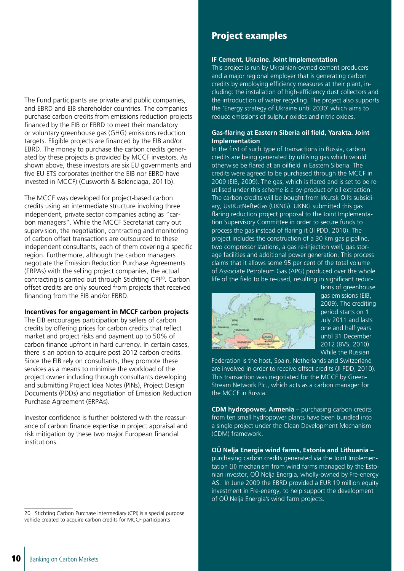The Fund participants are private and public companies, and EBRD and EIB shareholder countries. The companies purchase carbon credits from emissions reduction projects financed by the EIB or EBRD to meet their mandatory or voluntary greenhouse gas (GHG) emissions reduction targets. Eligible projects are financed by the EIB and/or EBRD. The money to purchase the carbon credits generated by these projects is provided by MCCF investors. As shown above, these investors are six EU governments and five EU ETS corporates (neither the EIB nor EBRD have invested in MCCF) (Cusworth & Balenciaga, 2011b).

The MCCF was developed for project-based carbon credits using an intermediate structure involving three independent, private sector companies acting as "carbon managers". While the MCCF Secretariat carry out supervision, the negotiation, contracting and monitoring of carbon offset transactions are outsourced to these independent consultants, each of them covering a specific region. Furthermore, although the carbon managers negotiate the Emission Reduction Purchase Agreements (ERPAs) with the selling project companies, the actual contracting is carried out through Stichting CPI20. Carbon offset credits are only sourced from projects that received financing from the EIB and/or EBRD.

#### **Incentives for engagement in MCCF carbon projects**

The EIB encourages participation by sellers of carbon credits by offering prices for carbon credits that reflect market and project risks and payment up to 50% of carbon finance upfront in hard currency. In certain cases, there is an option to acquire post 2012 carbon credits. Since the EIB rely on consultants, they promote these services as a means to minimise the workload of the project owner including through consultants developing and submitting Project Idea Notes (PINs), Project Design Documents (PDDs) and negotiation of Emission Reduction Purchase Agreement (ERPAs).

Investor confidence is further bolstered with the reassurance of carbon finance expertise in project appraisal and risk mitigation by these two major European financial institutions.

#### Project examples

#### **IF Cement, Ukraine. Joint Implementation**

This project is run by Ukrainian-owned cement producers and a major regional employer that is generating carbon credits by employing efficiency measures at their plant, including: the installation of high-efficiency dust collectors and the introduction of water recycling. The project also supports the 'Energy strategy of Ukraine until 2030' which aims to reduce emissions of sulphur oxides and nitric oxides.

#### **Gas-flaring at Eastern Siberia oil field, Yarakta. Joint Implementation**

In the first of such type of transactions in Russia, carbon credits are being generated by utilising gas which would otherwise be flared at an oilfield in Eastern Siberia. The credits were agreed to be purchased through the MCCF in 2009 (EIB, 2009). The gas, which is flared and is set to be reutilised under this scheme is a by-product of oil extraction. The carbon credits will be bought from Irkutsk Oil's subsidiary, UstKutNefteGas (UKNG). UKNG submitted this gas flaring reduction project proposal to the Joint Implementation Supervisory Committee in order to secure funds to process the gas instead of flaring it (JI PDD, 2010). The project includes the construction of a 30 km gas pipeline, two compressor stations, a gas re-injection well, gas storage facilities and additional power generation. This process claims that it allows some 95 per cent of the total volume of Associate Petroleum Gas (APG) produced over the whole life of the field to be re-used, resulting in significant reduc-



tions of greenhouse gas emissions (EIB, 2009). The crediting period starts on 1 July 2011 and lasts one and half years until 31 December 2012 (BVS, 2010). While the Russian

Federation is the host, Spain, Netherlands and Switzerland are involved in order to receive offset credits (JI PDD, 2010). This transaction was negotiated for the MCCF by Green-Stream Network Plc., which acts as a carbon manager for the MCCF in Russia.

**CDM hydropower, Armenia** – purchasing carbon credits from ten small hydropower plants have been bundled into a single project under the Clean Development Mechanism (CDM) framework.

**OÜ Nelja Energia wind farms, Estonia and Lithuania** – purchasing carbon credits generated via the Joint Implementation (JI) mechanism from wind farms managed by the Estonian investor, OÜ Nelja Energia, wholly-owned by Fre-energy AS. In June 2009 the EBRD provided a EUR 19 million equity investment in Fre-energy, to help support the development of OÜ Nelja Energia's wind farm projects.

<sup>20</sup> Stichting Carbon Purchase Intermediary (CPI) is a special purpose vehicle created to acquire carbon credits for MCCF participants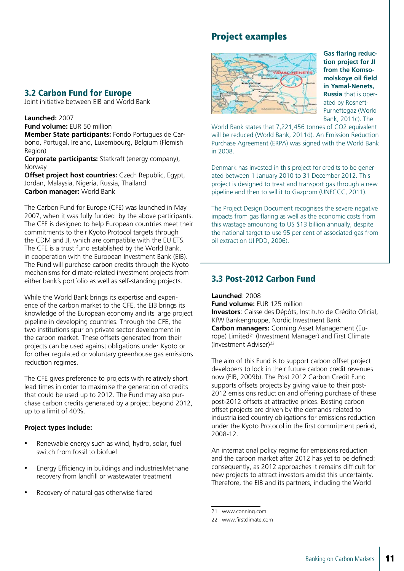#### 3.2 Carbon Fund for Europe

Joint initiative between EIB and World Bank

#### **Launched:** 2007

**Fund volume:** EUR 50 million

**Member State participants:** Fondo Portugues de Carbono, Portugal, Ireland, Luxembourg, Belgium (Flemish Region)

**Corporate participants:** Statkraft (energy company), Norway

**Offset project host countries:** Czech Republic, Egypt, Jordan, Malaysia, Nigeria, Russia, Thailand **Carbon manager:** World Bank

The Carbon Fund for Europe (CFE) was launched in May 2007, when it was fully funded by the above participants. The CFE is designed to help European countries meet their commitments to their Kyoto Protocol targets through the CDM and JI, which are compatible with the EU ETS. The CFE is a trust fund established by the World Bank, in cooperation with the European Investment Bank (EIB). The Fund will purchase carbon credits through the Kyoto mechanisms for climate-related investment projects from either bank's portfolio as well as self-standing projects.

While the World Bank brings its expertise and experience of the carbon market to the CFE, the EIB brings its knowledge of the European economy and its large project pipeline in developing countries. Through the CFE, the two institutions spur on private sector development in the carbon market. These offsets generated from their projects can be used against obligations under Kyoto or for other regulated or voluntary greenhouse gas emissions reduction regimes.

The CFE gives preference to projects with relatively short lead times in order to maximise the generation of credits that could be used up to 2012. The Fund may also purchase carbon credits generated by a project beyond 2012, up to a limit of 40%.

#### **Project types include:**

- Renewable energy such as wind, hydro, solar, fuel switch from fossil to biofuel
- Energy Efficiency in buildings and industriesMethane recovery from landfill or wastewater treatment
- Recovery of natural gas otherwise flared

#### Project examples



**Gas flaring reduction project for JI from the Komsomolskoye oil field in Yamal-Nenets, Russia** that is operated by Rosneft-Purneftegaz (World Bank, 2011c). The

World Bank states that 7,221,456 tonnes of CO2 equivalent will be reduced (World Bank, 2011d). An Emission Reduction Purchase Agreement (ERPA) was signed with the World Bank in 2008.

Denmark has invested in this project for credits to be generated between 1 January 2010 to 31 December 2012. This project is designed to treat and transport gas through a new pipeline and then to sell it to Gazprom (UNFCCC, 2011).

The Project Design Document recognises the severe negative impacts from gas flaring as well as the economic costs from this wastage amounting to US \$13 billion annually, despite the national target to use 95 per cent of associated gas from oil extraction (JI PDD, 2006).

#### 3.3 Post-2012 Carbon Fund

**Launched**: 2008

**Fund volume:** EUR 125 million

**Investors**: Caisse des Dépôts, Instituto de Crédito Oficial, KfW Bankengruppe, Nordic Investment Bank **Carbon managers:** Conning Asset Management (Europe) Limited<sup>21</sup> (Investment Manager) and First Climate (Investment Adviser)22

The aim of this Fund is to support carbon offset project developers to lock in their future carbon credit revenues now (EIB, 2009b). The Post 2012 Carbon Credit Fund supports offsets projects by giving value to their post-2012 emissions reduction and offering purchase of these post-2012 offsets at attractive prices. Existing carbon offset projects are driven by the demands related to industrialised country obligations for emissions reduction under the Kyoto Protocol in the first commitment period, 2008-12.

An international policy regime for emissions reduction and the carbon market after 2012 has yet to be defined: consequently, as 2012 approaches it remains difficult for new projects to attract investors amidst this uncertainty. Therefore, the EIB and its partners, including the World

<sup>21</sup> www.conning.com

<sup>22</sup> www.firstclimate.com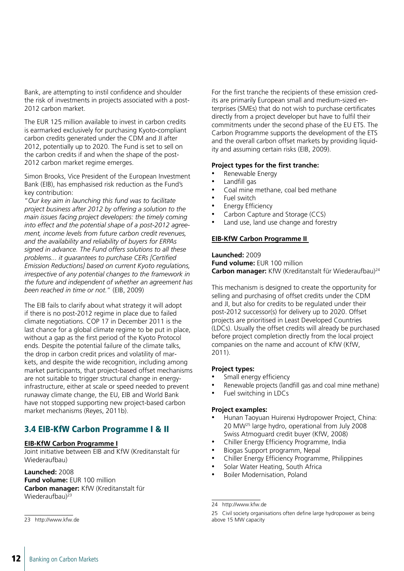Bank, are attempting to instil confidence and shoulder the risk of investments in projects associated with a post-2012 carbon market.

The EUR 125 million available to invest in carbon credits is earmarked exclusively for purchasing Kyoto-compliant carbon credits generated under the CDM and JI after 2012, potentially up to 2020. The Fund is set to sell on the carbon credits if and when the shape of the post-2012 carbon market regime emerges.

Simon Brooks, Vice President of the European Investment Bank (EIB), has emphasised risk reduction as the Fund's key contribution:

"*Our key aim in launching this fund was to facilitate project business after 2012 by offering a solution to the main issues facing project developers: the timely coming into effect and the potential shape of a post-2012 agreement, income levels from future carbon credit revenues, and the availability and reliability of buyers for ERPAs signed in advance. The Fund offers solutions to all these problems... it guarantees to purchase CERs [Certified Emission Reductions] based on current Kyoto regulations, irrespective of any potential changes to the framework in the future and independent of whether an agreement has been reached in time or not.*" (EIB, 2009)

The EIB fails to clarify about what strategy it will adopt if there is no post-2012 regime in place due to failed climate negotiations. COP 17 in December 2011 is the last chance for a global climate regime to be put in place, without a gap as the first period of the Kyoto Protocol ends. Despite the potential failure of the climate talks, the drop in carbon credit prices and volatility of markets, and despite the wide recognition, including among market participants, that project-based offset mechanisms are not suitable to trigger structural change in energyinfrastructure, either at scale or speed needed to prevent runaway climate change, the EU, EIB and World Bank have not stopped supporting new project-based carbon market mechanisms (Reyes, 2011b).

#### 3.4 EIB-KfW Carbon Programme I & II

#### **EIB-KfW Carbon Programme I**

Joint initiative between EIB and KfW (Kreditanstalt für Wiederaufbau)

#### **Launched:** 2008

**Fund volume: EUR 100 million Carbon manager:** KfW (Kreditanstalt für Wiederaufbau)23

For the first tranche the recipients of these emission credits are primarily European small and medium-sized enterprises (SMEs) that do not wish to purchase certificates directly from a project developer but have to fulfil their commitments under the second phase of the EU ETS. The Carbon Programme supports the development of the ETS and the overall carbon offset markets by providing liquidity and assuming certain risks (EIB, 2009).

#### **Project types for the first tranche:**

- Renewable Energy
- Landfill gas
- Coal mine methane, coal bed methane
- Fuel switch
- **Energy Efficiency**
- Carbon Capture and Storage (CCS)
- Land use, land use change and forestry

#### **EIB-KfW Carbon Programme II**

**Launched:** 2009 **Fund volume:** EUR 100 million **Carbon manager:** KfW (Kreditanstalt für Wiederaufbau)24

This mechanism is designed to create the opportunity for selling and purchasing of offset credits under the CDM and JI, but also for credits to be regulated under their post-2012 successor(s) for delivery up to 2020. Offset projects are prioritised in Least Developed Countries (LDCs). Usually the offset credits will already be purchased before project completion directly from the local project companies on the name and account of KfW (KfW, 2011).

#### **Project types:**

- Small energy efficiency
- Renewable projects (landfill gas and coal mine methane)
- Fuel switching in LDCs

#### **Project examples:**

- Hunan Taoyuan Huirenxi Hydropower Project, China: 20 MW25 large hydro, operational from July 2008 Swiss Atmoguard credit buyer (KfW, 2008)
- Chiller Energy Efficiency Programme, India
- Biogas Support programm, Nepal
- Chiller Energy Efficiency Programme, Philippines
- Solar Water Heating, South Africa
- Boiler Modernisation, Poland

23 http://www.kfw.de

<sup>24</sup> http://www.kfw.de

<sup>25</sup> Civil society organisations often define large hydropower as being above 15 MW capacity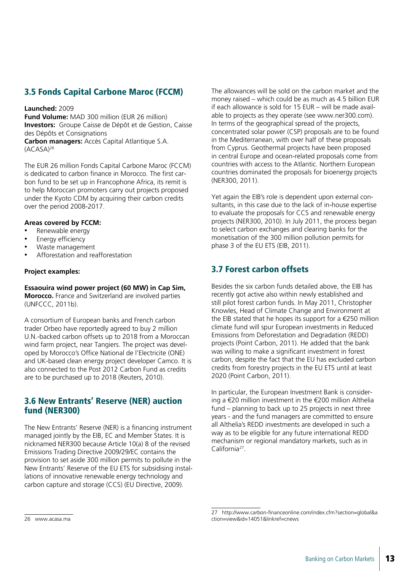#### 3.5 Fonds Capital Carbone Maroc (FCCM)

#### **Launched:** 2009

**Fund Volume:** MAD 300 million (EUR 26 million) **Investors:** Groupe Caisse de Dépôt et de Gestion, Caisse des Dépôts et Consignations

**Carbon managers:** Accès Capital Atlantique S.A. (ACASA)26

The EUR 26 million Fonds Capital Carbone Maroc (FCCM) is dedicated to carbon finance in Morocco. The first carbon fund to be set up in Francophone Africa, its remit is to help Moroccan promoters carry out projects proposed under the Kyoto CDM by acquiring their carbon credits over the period 2008-2017.

#### **Areas covered by FCCM:**

- Renewable energy
- Energy efficiency
- Waste management
- Afforestation and reafforestation

#### **Project examples:**

**Essaouira wind power project (60 MW) in Cap Sim, Morocco.** France and Switzerland are involved parties (UNFCCC, 2011b).

A consortium of European banks and French carbon trader Orbeo have reportedly agreed to buy 2 million U.N.-backed carbon offsets up to 2018 from a Moroccan wind farm project, near Tangiers. The project was developed by Morocco's Office National de l'Electricite (ONE) and UK-based clean energy project developer Camco. It is also connected to the Post 2012 Carbon Fund as credits are to be purchased up to 2018 (Reuters, 2010).

#### 3.6 New Entrants' Reserve (NER) auction fund (NER300)

The New Entrants' Reserve (NER) is a financing instrument managed jointly by the EIB, EC and Member States. It is nicknamed NER300 because Article 10(a) 8 of the revised Emissions Trading Directive 2009/29/EC contains the provision to set aside 300 million permits to pollute in the New Entrants' Reserve of the EU ETS for subsidising installations of innovative renewable energy technology and carbon capture and storage (CCS) (EU Directive, 2009).

The allowances will be sold on the carbon market and the money raised – which could be as much as 4.5 billion EUR if each allowance is sold for 15 EUR – will be made available to projects as they operate (see www.ner300.com). In terms of the geographical spread of the projects, concentrated solar power (CSP) proposals are to be found in the Mediterranean, with over half of these proposals from Cyprus. Geothermal projects have been proposed in central Europe and ocean-related proposals come from countries with access to the Atlantic. Northern European countries dominated the proposals for bioenergy projects (NER300, 2011).

Yet again the EIB's role is dependent upon external consultants, in this case due to the lack of in-house expertise to evaluate the proposals for CCS and renewable energy projects (NER300, 2010). In July 2011, the process began to select carbon exchanges and clearing banks for the monetisation of the 300 million pollution permits for phase 3 of the EU ETS (EIB, 2011).

#### 3.7 Forest carbon offsets

Besides the six carbon funds detailed above, the EIB has recently got active also within newly established and still pilot forest carbon funds. In May 2011, Christopher Knowles, Head of Climate Change and Environment at the EIB stated that he hopes its support for a  $\epsilon$ 250 million climate fund will spur European investments in Reduced Emissions from Deforestation and Degradation (REDD) projects (Point Carbon, 2011). He added that the bank was willing to make a significant investment in forest carbon, despite the fact that the EU has excluded carbon credits from forestry projects in the EU ETS until at least 2020 (Point Carbon, 2011).

In particular, the European Investment Bank is considering a €20 million investment in the €200 million Althelia fund – planning to back up to 25 projects in next three years - and the fund managers are committed to ensure all Althelia's REDD investments are developed in such a way as to be eligible for any future international REDD mechanism or regional mandatory markets, such as in California27.

<sup>26</sup> www.acasa.ma

<sup>27</sup> http://www.carbon-financeonline.com/index.cfm?section=global&a ction=view&id=14051&linkref=cnews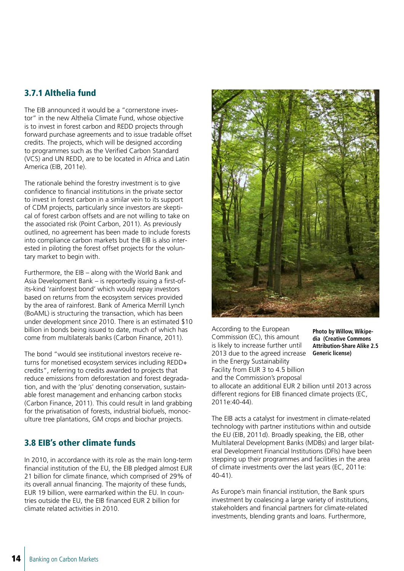#### 3.7.1 Althelia fund

The EIB announced it would be a "cornerstone investor" in the new Althelia Climate Fund, whose objective is to invest in forest carbon and REDD projects through forward purchase agreements and to issue tradable offset credits. The projects, which will be designed according to programmes such as the Verified Carbon Standard (VCS) and UN REDD, are to be located in Africa and Latin America (EIB, 2011e).

The rationale behind the forestry investment is to give confidence to financial institutions in the private sector to invest in forest carbon in a similar vein to its support of CDM projects, particularly since investors are skeptical of forest carbon offsets and are not willing to take on the associated risk (Point Carbon, 2011). As previously outlined, no agreement has been made to include forests into compliance carbon markets but the EIB is also interested in piloting the forest offset projects for the voluntary market to begin with.

Furthermore, the EIB – along with the World Bank and Asia Development Bank – is reportedly issuing a first-ofits-kind 'rainforest bond' which would repay investors based on returns from the ecosystem services provided by the area of rainforest. Bank of America Merrill Lynch (BoAML) is structuring the transaction, which has been under development since 2010. There is an estimated \$10 billion in bonds being issued to date, much of which has come from multilaterals banks (Carbon Finance, 2011).

The bond "would see institutional investors receive returns for monetised ecosystem services including REDD+ credits", referring to credits awarded to projects that reduce emissions from deforestation and forest degradation, and with the 'plus' denoting conservation, sustainable forest management and enhancing carbon stocks (Carbon Finance, 2011). This could result in land grabbing for the privatisation of forests, industrial biofuels, monoculture tree plantations, GM crops and biochar projects.

#### 3.8 EIB's other climate funds

In 2010, in accordance with its role as the main long-term financial institution of the EU, the EIB pledged almost EUR 21 billion for climate finance, which comprised of 29% of its overall annual financing. The majority of these funds, EUR 19 billion, were earmarked within the EU. In countries outside the EU, the EIB financed EUR 2 billion for climate related activities in 2010.



According to the European Commission (EC), this amount is likely to increase further until 2013 due to the agreed increase in the Energy Sustainability Facility from EUR 3 to 4.5 billion and the Commission's proposal

**Photo by Willow, Wikipedia (Creative Commons Attribution-Share Alike 2.5 Generic license)**

to allocate an additional EUR 2 billion until 2013 across different regions for EIB financed climate projects (EC, 2011e:40-44).

The EIB acts a catalyst for investment in climate-related technology with partner institutions within and outside the EU (EIB, 2011d). Broadly speaking, the EIB, other Multilateral Development Banks (MDBs) and larger bilateral Development Financial Institutions (DFIs) have been stepping up their programmes and facilities in the area of climate investments over the last years (EC, 2011e: 40-41).

As Europe's main financial institution, the Bank spurs investment by coalescing a large variety of institutions, stakeholders and financial partners for climate-related investments, blending grants and loans. Furthermore,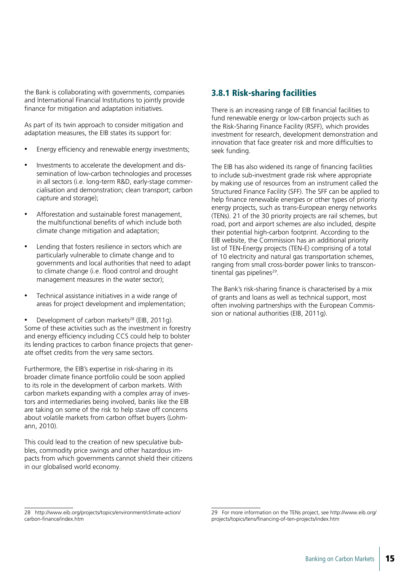the Bank is collaborating with governments, companies and International Financial Institutions to jointly provide finance for mitigation and adaptation initiatives.

As part of its twin approach to consider mitigation and adaptation measures, the EIB states its support for:

- Energy efficiency and renewable energy investments;
- Investments to accelerate the development and dissemination of low-carbon technologies and processes in all sectors (i.e. long-term R&D, early-stage commercialisation and demonstration; clean transport; carbon capture and storage);
- Afforestation and sustainable forest management, the multifunctional benefits of which include both climate change mitigation and adaptation;
- Lending that fosters resilience in sectors which are particularly vulnerable to climate change and to governments and local authorities that need to adapt to climate change (i.e. flood control and drought management measures in the water sector);
- Technical assistance initiatives in a wide range of areas for project development and implementation;
- Development of carbon markets<sup>28</sup> (EIB, 2011g). Some of these activities such as the investment in forestry and energy efficiency including CCS could help to bolster its lending practices to carbon finance projects that generate offset credits from the very same sectors.

Furthermore, the EIB's expertise in risk-sharing in its broader climate finance portfolio could be soon applied to its role in the development of carbon markets. With carbon markets expanding with a complex array of investors and intermediaries being involved, banks like the EIB are taking on some of the risk to help stave off concerns about volatile markets from carbon offset buyers (Lohmann, 2010).

This could lead to the creation of new speculative bubbles, commodity price swings and other hazardous impacts from which governments cannot shield their citizens in our globalised world economy.

#### 3.8.1 Risk-sharing facilities

There is an increasing range of EIB financial facilities to fund renewable energy or low-carbon projects such as the Risk-Sharing Finance Facility (RSFF), which provides investment for research, development demonstration and innovation that face greater risk and more difficulties to seek funding.

The EIB has also widened its range of financing facilities to include sub-investment grade risk where appropriate by making use of resources from an instrument called the Structured Finance Facility (SFF). The SFF can be applied to help finance renewable energies or other types of priority energy projects, such as trans-European energy networks (TENs). 21 of the 30 priority projects are rail schemes, but road, port and airport schemes are also included, despite their potential high-carbon footprint. According to the EIB website, the Commission has an additional priority list of TEN-Energy projects (TEN-E) comprising of a total of 10 electricity and natural gas transportation schemes, ranging from small cross-border power links to transcontinental gas pipelines<sup>29</sup>.

The Bank's risk-sharing finance is characterised by a mix of grants and loans as well as technical support, most often involving partnerships with the European Commission or national authorities (EIB, 2011g).

<sup>28</sup> http://www.eib.org/projects/topics/environment/climate-action/ carbon-finance/index.htm

<sup>29</sup> For more information on the TENs project, see http://www.eib.org/ projects/topics/tens/financing-of-ten-projects/index.htm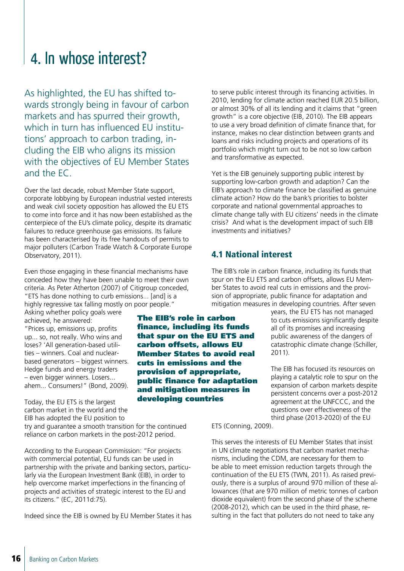### 4. In whose interest?

As highlighted, the EU has shifted towards strongly being in favour of carbon markets and has spurred their growth, which in turn has influenced EU institutions' approach to carbon trading, including the EIB who aligns its mission with the objectives of EU Member States and the EC.

Over the last decade, robust Member State support, corporate lobbying by European industrial vested interests and weak civil society opposition has allowed the EU ETS to come into force and it has now been established as the centerpiece of the EU's climate policy, despite its dramatic failures to reduce greenhouse gas emissions. Its failure has been characterised by its free handouts of permits to major polluters (Carbon Trade Watch & Corporate Europe Observatory, 2011).

Even those engaging in these financial mechanisms have conceded how they have been unable to meet their own criteria. As Peter Atherton (2007) of Citigroup conceded, "ETS has done nothing to curb emissions... [and] is a highly regressive tax falling mostly on poor people."

Asking whether policy goals were achieved, he answered: "Prices up, emissions up, profits up... so, not really. Who wins and loses? 'All generation-based utilities – winners. Coal and nuclearbased generators – biggest winners. Hedge funds and energy traders – even bigger winners. Losers... ahem... Consumers!" (Bond, 2009).

Today, the EU ETS is the largest carbon market in the world and the EIB has adopted the EU position to

try and guarantee a smooth transition for the continued reliance on carbon markets in the post-2012 period.

According to the European Commission: "For projects with commercial potential, EU funds can be used in partnership with the private and banking sectors, particularly via the European Investment Bank (EIB), in order to help overcome market imperfections in the financing of projects and activities of strategic interest to the EU and its citizens." (EC, 2011d:75).

Indeed since the EIB is owned by EU Member States it has

to serve public interest through its financing activities. In 2010, lending for climate action reached EUR 20.5 billion, or almost 30% of all its lending and it claims that "green growth" is a core objective (EIB, 2010). The EIB appears to use a very broad definition of climate finance that, for instance, makes no clear distinction between grants and loans and risks including projects and operations of its portfolio which might turn out to be not so low carbon and transformative as expected.

Yet is the EIB genuinely supporting public interest by supporting low-carbon growth and adaption? Can the EIB's approach to climate finance be classified as genuine climate action? How do the bank's priorities to bolster corporate and national governmental approaches to climate change tally with EU citizens' needs in the climate crisis? And what is the development impact of such EIB investments and initiatives?

#### 4.1 National interest

The EIB's role in carbon finance, including its funds that spur on the EU ETS and carbon offsets, allows EU Member States to avoid real cuts in emissions and the provision of appropriate, public finance for adaptation and mitigation measures in

developing countries

The EIB's role in carbon finance, including its funds that spur on the EU ETS and carbon offsets, allows EU Member States to avoid real cuts in emissions and the provision of appropriate, public finance for adaptation and mitigation measures in developing countries. After seven

years, the EU ETS has not managed to cuts emissions significantly despite all of its promises and increasing public awareness of the dangers of catastrophic climate change (Schiller, 2011).

The EIB has focused its resources on playing a catalytic role to spur on the expansion of carbon markets despite persistent concerns over a post-2012 agreement at the UNFCCC, and the questions over effectiveness of the third phase (2013-2020) of the EU

ETS (Conning, 2009).

This serves the interests of EU Member States that insist in UN climate negotiations that carbon market mechanisms, including the CDM, are necessary for them to be able to meet emission reduction targets through the continuation of the EU ETS (TWN, 2011). As raised previously, there is a surplus of around 970 million of these allowances (that are 970 million of metric tonnes of carbon dioxide equivalent) from the second phase of the scheme (2008-2012), which can be used in the third phase, resulting in the fact that polluters do not need to take any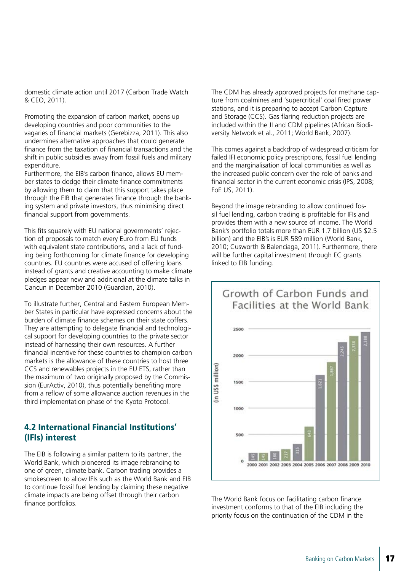domestic climate action until 2017 (Carbon Trade Watch & CEO, 2011).

Promoting the expansion of carbon market, opens up developing countries and poor communities to the vagaries of financial markets (Gerebizza, 2011). This also undermines alternative approaches that could generate finance from the taxation of financial transactions and the shift in public subsidies away from fossil fuels and military expenditure.

Furthermore, the EIB's carbon finance, allows EU member states to dodge their climate finance commitments by allowing them to claim that this support takes place through the EIB that generates finance through the banking system and private investors, thus minimising direct financial support from governments.

This fits squarely with EU national governments' rejection of proposals to match every Euro from EU funds with equivalent state contributions, and a lack of funding being forthcoming for climate finance for developing countries. EU countries were accused of offering loans instead of grants and creative accounting to make climate pledges appear new and additional at the climate talks in Cancun in December 2010 (Guardian, 2010).

To illustrate further, Central and Eastern European Member States in particular have expressed concerns about the burden of climate finance schemes on their state coffers. They are attempting to delegate financial and technological support for developing countries to the private sector instead of harnessing their own resources. A further financial incentive for these countries to champion carbon markets is the allowance of these countries to host three CCS and renewables projects in the EU ETS, rather than the maximum of two originally proposed by the Commission (EurActiv, 2010), thus potentially benefiting more from a reflow of some allowance auction revenues in the third implementation phase of the Kyoto Protocol.

#### 4.2 International Financial Institutions' (IFIs) interest

The EIB is following a similar pattern to its partner, the World Bank, which pioneered its image rebranding to one of green, climate bank. Carbon trading provides a smokescreen to allow IFIs such as the World Bank and EIB to continue fossil fuel lending by claiming these negative climate impacts are being offset through their carbon finance portfolios.

The CDM has already approved projects for methane capture from coalmines and 'supercritical' coal fired power stations, and it is preparing to accept Carbon Capture and Storage (CCS). Gas flaring reduction projects are included within the JI and CDM pipelines (African Biodiversity Network et al., 2011; World Bank, 2007).

This comes against a backdrop of widespread criticism for failed IFI economic policy prescriptions, fossil fuel lending and the marginalisation of local communities as well as the increased public concern over the role of banks and financial sector in the current economic crisis (IPS, 2008; FoE US, 2011).

Beyond the image rebranding to allow continued fossil fuel lending, carbon trading is profitable for IFIs and provides them with a new source of income. The World Bank's portfolio totals more than EUR 1.7 billion (US \$2.5 billion) and the EIB's is EUR 589 million (World Bank, 2010; Cusworth & Balenciaga, 2011). Furthermore, there will be further capital investment through EC grants linked to EIB funding.



The World Bank focus on facilitating carbon finance investment conforms to that of the EIB including the priority focus on the continuation of the CDM in the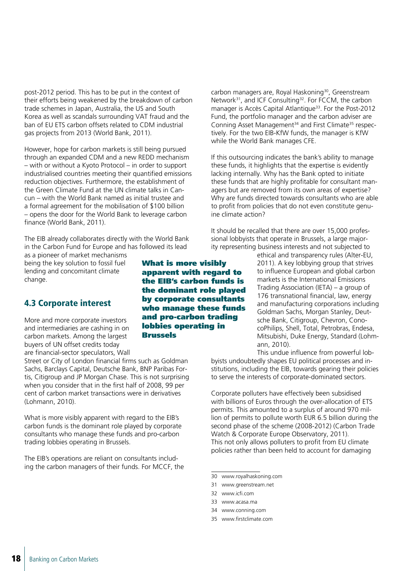post-2012 period. This has to be put in the context of their efforts being weakened by the breakdown of carbon trade schemes in Japan, Australia, the US and South Korea as well as scandals surrounding VAT fraud and the ban of EU ETS carbon offsets related to CDM industrial gas projects from 2013 (World Bank, 2011).

However, hope for carbon markets is still being pursued through an expanded CDM and a new REDD mechanism – with or without a Kyoto Protocol – in order to support industrialised countries meeting their quantified emissions reduction objectives. Furthermore, the establishment of the Green Climate Fund at the UN climate talks in Cancun – with the World Bank named as initial trustee and a formal agreement for the mobilisation of \$100 billion – opens the door for the World Bank to leverage carbon finance (World Bank, 2011).

The EIB already collaborates directly with the World Bank in the Carbon Fund for Europe and has followed its lead

as a pioneer of market mechanisms being the key solution to fossil fuel lending and concomitant climate change.

#### 4.3 Corporate interest

More and more corporate investors and intermediaries are cashing in on carbon markets. Among the largest buyers of UN offset credits today are financial-sector speculators, Wall

Street or City of London financial firms such as Goldman Sachs, Barclays Capital, Deutsche Bank, BNP Paribas Fortis, Citigroup and JP Morgan Chase. This is not surprising when you consider that in the first half of 2008, 99 per cent of carbon market transactions were in derivatives (Lohmann, 2010).

What is more visibly apparent with regard to the EIB's carbon funds is the dominant role played by corporate consultants who manage these funds and pro-carbon trading lobbies operating in Brussels.

The EIB's operations are reliant on consultants including the carbon managers of their funds. For MCCF, the

What is more visibly apparent with regard to the EIB's carbon funds is the dominant role played by corporate consultants who manage these funds and pro-carbon trading lobbies operating in Brussels

carbon managers are, Royal Haskoning<sup>30</sup>, Greenstream Network<sup>31</sup>, and ICF Consulting<sup>32</sup>. For FCCM, the carbon manager is Accès Capital Atlantique<sup>33</sup>. For the Post-2012 Fund, the portfolio manager and the carbon adviser are Conning Asset Management<sup>34</sup> and First Climate<sup>35</sup> respectively. For the two EIB-KfW funds, the manager is KfW while the World Bank manages CFE.

If this outsourcing indicates the bank's ability to manage these funds, it highlights that the expertise is evidently lacking internally. Why has the Bank opted to initiate these funds that are highly profitable for consultant managers but are removed from its own areas of expertise? Why are funds directed towards consultants who are able to profit from policies that do not even constitute genuine climate action?

It should be recalled that there are over 15,000 professional lobbyists that operate in Brussels, a large majority representing business interests and not subjected to

> ethical and transparency rules (Alter-EU, 2011). A key lobbying group that strives to influence European and global carbon markets is the International Emissions Trading Association (IETA) – a group of 176 transnational financial, law, energy and manufacturing corporations including Goldman Sachs, Morgan Stanley, Deutsche Bank, Citigroup, Chevron, ConocoPhilips, Shell, Total, Petrobras, Endesa, Mitsubishi, Duke Energy, Standard (Lohmann, 2010).

This undue influence from powerful lobbyists undoubtedly shapes EU political processes and institutions, including the EIB, towards gearing their policies to serve the interests of corporate-dominated sectors.

Corporate polluters have effectively been subsidised with billions of Euros through the over-allocation of ETS permits. This amounted to a surplus of around 970 million of permits to pollute worth EUR 6.5 billion during the second phase of the scheme (2008-2012) (Carbon Trade Watch & Corporate Europe Observatory, 2011). This not only allows polluters to profit from EU climate policies rather than been held to account for damaging

- 31 www.greenstream.net
- 32 www.icfi.com
- 33 www.acasa.ma
- 34 www.conning.com
- 35 www.firstclimate.com

<sup>30</sup> www.royalhaskoning.com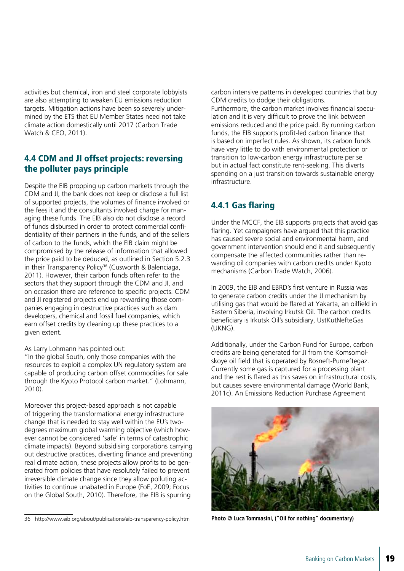activities but chemical, iron and steel corporate lobbyists are also attempting to weaken EU emissions reduction targets. Mitigation actions have been so severely undermined by the ETS that EU Member States need not take climate action domestically until 2017 (Carbon Trade Watch & CEO, 2011).

#### 4.4 CDM and JI offset projects: reversing the polluter pays principle

Despite the EIB propping up carbon markets through the CDM and JI, the bank does not keep or disclose a full list of supported projects, the volumes of finance involved or the fees it and the consultants involved charge for managing these funds. The EIB also do not disclose a record of funds disbursed in order to protect commercial confidentiality of their partners in the funds, and of the sellers of carbon to the funds, which the EIB claim might be compromised by the release of information that allowed the price paid to be deduced, as outlined in Section 5.2.3 in their Transparency Policy<sup>36</sup> (Cusworth & Balenciaga, 2011). However, their carbon funds often refer to the sectors that they support through the CDM and JI, and on occasion there are reference to specific projects. CDM and JI registered projects end up rewarding those companies engaging in destructive practices such as dam developers, chemical and fossil fuel companies, which earn offset credits by cleaning up these practices to a given extent.

As Larry Lohmann has pointed out:

"In the global South, only those companies with the resources to exploit a complex UN regulatory system are capable of producing carbon offset commodities for sale through the Kyoto Protocol carbon market." (Lohmann, 2010).

Moreover this project-based approach is not capable of triggering the transformational energy infrastructure change that is needed to stay well within the EU's twodegrees maximum global warming objective (which however cannot be considered 'safe' in terms of catastrophic climate impacts). Beyond subsidising corporations carrying out destructive practices, diverting finance and preventing real climate action, these projects allow profits to be generated from policies that have resolutely failed to prevent irreversible climate change since they allow polluting activities to continue unabated in Europe (FoE, 2009; Focus on the Global South, 2010). Therefore, the EIB is spurring

carbon intensive patterns in developed countries that buy CDM credits to dodge their obligations.

Furthermore, the carbon market involves financial speculation and it is very difficult to prove the link between emissions reduced and the price paid. By running carbon funds, the EIB supports profit-led carbon finance that is based on imperfect rules. As shown, its carbon funds have very little to do with environmental protection or transition to low-carbon energy infrastructure per se but in actual fact constitute rent-seeking. This diverts spending on a just transition towards sustainable energy infrastructure.

#### 4.4.1 Gas flaring

Under the MCCF, the EIB supports projects that avoid gas flaring. Yet campaigners have argued that this practice has caused severe social and environmental harm, and government intervention should end it and subsequently compensate the affected communities rather than rewarding oil companies with carbon credits under Kyoto mechanisms (Carbon Trade Watch, 2006).

In 2009, the EIB and EBRD's first venture in Russia was to generate carbon credits under the JI mechanism by utilising gas that would be flared at Yakarta, an oilfield in Eastern Siberia, involving Irkutsk Oil. The carbon credits beneficiary is Irkutsk Oil's subsidiary, UstKutNefteGas (UKNG).

Additionally, under the Carbon Fund for Europe, carbon credits are being generated for JI from the Komsomolskoye oil field that is operated by Rosneft-Purneftegaz. Currently some gas is captured for a processing plant and the rest is flared as this saves on infrastructural costs, but causes severe environmental damage (World Bank, 2011c). An Emissions Reduction Purchase Agreement



**Photo © Luca Tommasini, ("Oil for nothing" documentary)**

<sup>36</sup> http://www.eib.org/about/publications/eib-transparency-policy.htm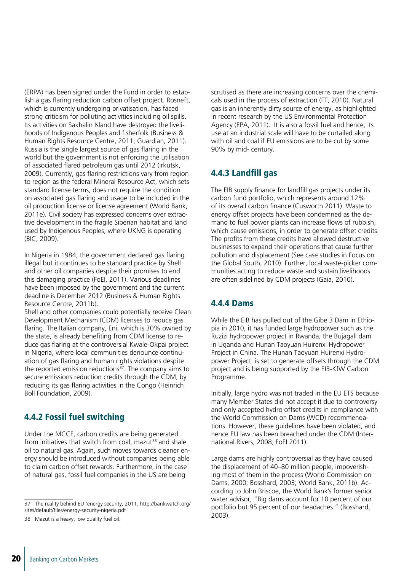(ERPA) has been signed under the Fund in order to establish a gas flaring reduction carbon offset project. Rosneft, which is currently undergoing privatisation, has faced strong criticism for polluting activities including oil spills. Its activities on Sakhalin Island have destroyed the livelihoods of Indigenous Peoples and fisherfolk (Business & Human Rights Resource Centre, 2011; Guardian, 2011). Russia is the single largest source of gas flaring in the world but the government is not enforcing the utilisation of associated flared petroleum gas until 2012 (Irkutsk, 2009). Currently, gas flaring restrictions vary from region to region as the federal Mineral Resource Act, which sets standard license terms, does not require the condition on associated gas flaring and usage to be included in the oil production license or license agreement (World Bank, 2011e). Civil society has expressed concerns over extractive development in the fragile Siberian habitat and land used by Indigenous Peoples, where UKNG is operating (BIC, 2009).

In Nigeria in 1984, the government declared gas flaring illegal but it continues to be standard practice by Shell and other oil companies despite their promises to end this damaging practice (FoEI, 2011). Various deadlines have been imposed by the government and the current deadline is December 2012 (Business & Human Rights Resource Centre, 2011b).

Shell and other companies could potentially receive Clean Development Mechanism (CDM) licenses to reduce gas flaring. The Italian company, Eni, which is 30% owned by the state, is already benefiting from CDM license to reduce gas flaring at the controversial Kwale-Okpai project in Nigeria, where local communities denounce continuation of gas flaring and human rights violations despite the reported emission reductions $\frac{37}{2}$ . The company aims to secure emissions reduction credits through the CDM, by reducing its gas flaring activities in the Congo (Heinrich Boll Foundation, 2009).

#### 4.4.2 Fossil fuel switching

Under the MCCF, carbon credits are being generated from initiatives that switch from coal, mazut<sup>38</sup> and shale oil to natural gas. Again, such moves towards cleaner energy should be introduced without companies being able to claim carbon offset rewards. Furthermore, in the case of natural gas, fossil fuel companies in the US are being

38 Mazut is a heavy, low quality fuel oil.

scrutised as there are increasing concerns over the chemicals used in the process of extraction (FT, 2010). Natural gas is an inherently dirty source of energy, as highlighted in recent research by the US Environmental Protection Agency (EPA, 2011). It is also a fossil fuel and hence, its use at an industrial scale will have to be curtailed along with oil and coal if EU emissions are to be cut by some 90% by mid- century.

#### 4.4.3 Landfill gas

The EIB supply finance for landfill gas projects under its carbon fund portfolio, which represents around 12% of its overall carbon finance (Cusworth 2011). Waste to energy offset projects have been condemned as the demand to fuel power plants can increase flows of rubbish, which cause emissions, in order to generate offset credits. The profits from these credits have allowed destructive businesses to expand their operations that cause further pollution and displacement (See case studies in Focus on the Global South, 2010). Further, local waste-picker communities acting to reduce waste and sustain livelihoods are often sidelined by CDM projects (Gaia, 2010).

#### 4.4.4 Dams

While the EIB has pulled out of the Gibe 3 Dam in Ethiopia in 2010, it has funded large hydropower such as the Ruzizi hydropower project in Rwanda, the Bujagali dam in Uganda and Hunan Taoyuan Huirenxi Hydropower Project in China. The Hunan Taoyuan Huirenxi Hydropower Project is set to generate offsets through the CDM project and is being supported by the EIB-KfW Carbon Programme.

Initially, large hydro was not traded in the EU ETS because many Member States did not accept it due to controversy and only accepted hydro offset credits in compliance with the World Commission on Dams (WCD) recommendations. However, these guidelines have been violated, and hence EU law has been breached under the CDM (International Rivers, 2008; FoEI 2011).

Large dams are highly controversial as they have caused the displacement of 40–80 million people, impoverishing most of them in the process (World Commission on Dams, 2000; Bosshard, 2003; World Bank, 2011b). According to John Briscoe, the World Bank's former senior water advisor, "Big dams account for 10 percent of our portfolio but 95 percent of our headaches." (Bosshard, 2003).

<sup>37</sup> The reality behind EU 'energy security, 2011. http://bankwatch.org/ sites/default/files/energy-security-nigeria.pdf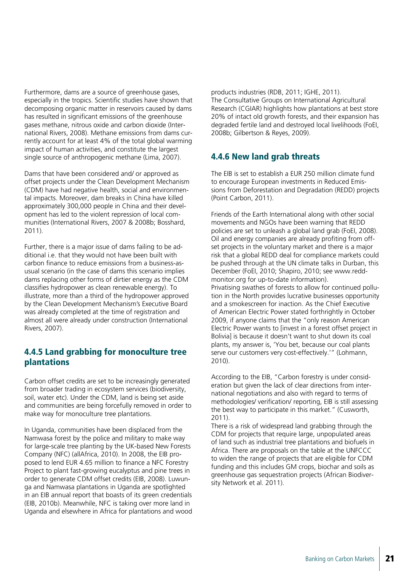Furthermore, dams are a source of greenhouse gases, especially in the tropics. Scientific studies have shown that decomposing organic matter in reservoirs caused by dams has resulted in significant emissions of the greenhouse gases methane, nitrous oxide and carbon dioxide (International Rivers, 2008). Methane emissions from dams currently account for at least 4% of the total global warming impact of human activities, and constitute the largest single source of anthropogenic methane (Lima, 2007).

Dams that have been considered and/ or approved as offset projects under the Clean Development Mechanism (CDM) have had negative health, social and environmental impacts. Moreover, dam breaks in China have killed approximately 300,000 people in China and their development has led to the violent repression of local communities (International Rivers, 2007 & 2008b; Bosshard, 2011).

Further, there is a major issue of dams failing to be additional i.e. that they would not have been built with carbon finance to reduce emissions from a business-asusual scenario (in the case of dams this scenario implies dams replacing other forms of dirtier energy as the CDM classifies hydropower as clean renewable energy). To illustrate, more than a third of the hydropower approved by the Clean Development Mechanism's Executive Board was already completed at the time of registration and almost all were already under construction (International Rivers, 2007).

#### 4.4.5 Land grabbing for monoculture tree plantations

Carbon offset credits are set to be increasingly generated from broader trading in ecosystem services (biodiversity, soil, water etc). Under the CDM, land is being set aside and communities are being forcefully removed in order to make way for monoculture tree plantations.

In Uganda, communities have been displaced from the Namwasa forest by the police and military to make way for large-scale tree planting by the UK-based New Forests Company (NFC) (allAfrica, 2010). In 2008, the EIB proposed to lend EUR 4.65 million to finance a NFC Forestry Project to plant fast-growing eucalyptus and pine trees in order to generate CDM offset credits (EIB, 2008). Luwunga and Namwasa plantations in Uganda are spotlighted in an EIB annual report that boasts of its green credentials (EIB, 2010b). Meanwhile, NFC is taking over more land in Uganda and elsewhere in Africa for plantations and wood products industries (RDB, 2011; IGHE, 2011). The Consultative Groups on International Agricultural Research (CGIAR) highlights how plantations at best store 20% of intact old growth forests, and their expansion has degraded fertile land and destroyed local livelihoods (FoEI, 2008b; Gilbertson & Reyes, 2009).

#### 4.4.6 New land grab threats

The EIB is set to establish a EUR 250 million climate fund to encourage European investments in Reduced Emissions from Deforestation and Degradation (REDD) projects (Point Carbon, 2011).

Friends of the Earth International along with other social movements and NGOs have been warning that REDD policies are set to unleash a global land grab (FoEI, 2008). Oil and energy companies are already profiting from offset projects in the voluntary market and there is a major risk that a global REDD deal for compliance markets could be pushed through at the UN climate talks in Durban, this December (FoEI, 2010; Shapiro, 2010; see www.reddmonitor.org for up-to-date information). Privatising swathes of forests to allow for continued pollution in the North provides lucrative businesses opportunity and a smokescreen for inaction. As the Chief Executive of American Electric Power stated forthrightly in October 2009, if anyone claims that the "only reason American Electric Power wants to [invest in a forest offset project in Bolivial is because it doesn't want to shut down its coal plants, my answer is, 'You bet, because our coal plants

According to the EIB, "Carbon forestry is under consideration but given the lack of clear directions from international negotiations and also with regard to terms of methodologies/ verification/ reporting, EIB is still assessing the best way to participate in this market." (Cusworth, 2011).

serve our customers very cost-effectively.'" (Lohmann,

2010).

There is a risk of widespread land grabbing through the CDM for projects that require large, unpopulated areas of land such as industrial tree plantations and biofuels in Africa. There are proposals on the table at the UNFCCC to widen the range of projects that are eligible for CDM funding and this includes GM crops, biochar and soils as greenhouse gas sequestration projects (African Biodiversity Network et al. 2011).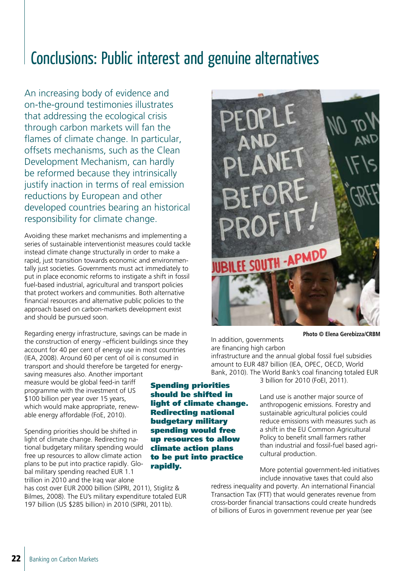### Conclusions: Public interest and genuine alternatives

An increasing body of evidence and on-the-ground testimonies illustrates that addressing the ecological crisis through carbon markets will fan the flames of climate change. In particular, offsets mechanisms, such as the Clean Development Mechanism, can hardly be reformed because they intrinsically justify inaction in terms of real emission reductions by European and other developed countries bearing an historical responsibility for climate change.

Avoiding these market mechanisms and implementing a series of sustainable interventionist measures could tackle instead climate change structurally in order to make a rapid, just transition towards economic and environmentally just societies. Governments must act immediately to put in place economic reforms to instigate a shift in fossil fuel-based industrial, agricultural and transport policies that protect workers and communities. Both alternative financial resources and alternative public policies to the approach based on carbon-markets development exist and should be pursued soon.

Regarding energy infrastructure, savings can be made in the construction of energy –efficient buildings since they account for 40 per cent of energy use in most countries (IEA, 2008). Around 60 per cent of oil is consumed in transport and should therefore be targeted for energy-

saving measures also. Another important measure would be global feed-in tariff programme with the investment of US \$100 billion per year over 15 years, which would make appropriate, renewable energy affordable (FoE, 2010).

Spending priorities should be shifted in light of climate change. Redirecting national budgetary military spending would free up resources to allow climate action plans to be put into practice rapidly. Global military spending reached EUR 1.1 trillion in 2010 and the Iraq war alone

has cost over EUR 2000 billion (SIPRI, 2011), Stiglitz & Bilmes, 2008). The EU's military expenditure totaled EUR 197 billion (US \$285 billion) in 2010 (SIPRI, 2011b).

Spending priorities should be shifted in light of climate change. Redirecting national budgetary military spending would free up resources to allow climate action plans to be put into practice rapidly.



**Photo © Elena Gerebizza/CRBM**

In addition, governments are financing high carbon

infrastructure and the annual global fossil fuel subsidies amount to EUR 487 billion (IEA, OPEC, OECD, World Bank, 2010). The World Bank's coal financing totaled EUR

3 billion for 2010 (FoEI, 2011).

Land use is another major source of anthropogenic emissions. Forestry and sustainable agricultural policies could reduce emissions with measures such as a shift in the EU Common Agricultural Policy to benefit small farmers rather than industrial and fossil-fuel based agricultural production.

More potential government-led initiatives include innovative taxes that could also

redress inequality and poverty. An international Financial Transaction Tax (FTT) that would generates revenue from cross-border financial transactions could create hundreds of billions of Euros in government revenue per year (see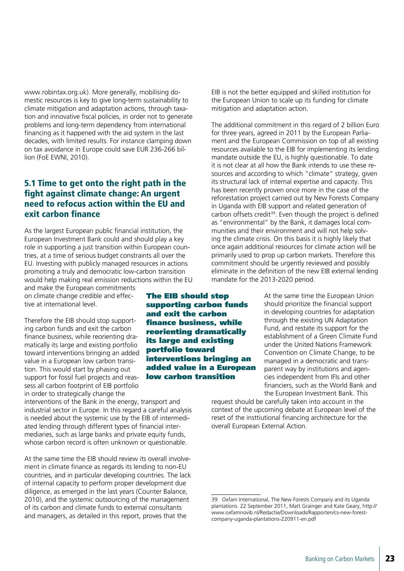www.robintax.org.uk). More generally, mobilising domestic resources is key to give long-term sustainability to climate mitigation and adaptation actions, through taxation and innovative fiscal policies, in order not to generate problems and long-term dependency from international financing as it happened with the aid system in the last decades, with limited results. For instance clamping down on tax avoidance in Europe could save EUR 236-266 billion (FoE EWNI, 2010).

#### 5.1 Time to get onto the right path in the fight against climate change: An urgent need to refocus action within the EU and exit carbon finance

As the largest European public financial institution, the European Investment Bank could and should play a key role in supporting a just transition within European countries, at a time of serious budget constraints all over the EU. Investing with publicly managed resources in actions promoting a truly and democratic low-carbon transition would help making real emission reductions within the EU

and make the European commitments on climate change credible and effective at international level.

Therefore the EIB should stop supporting carbon funds and exit the carbon finance business, while reorienting dramatically its large and existing portfolio toward interventions bringing an added value in a European low carbon transition. This would start by phasing out support for fossil fuel projects and reassess all carbon footprint of EIB portfolio in order to strategically change the

interventions of the Bank in the energy, transport and industrial sector in Europe. In this regard a careful analysis is needed about the systemic use by the EIB of intermediated lending through different types of financial intermediaries, such as large banks and private equity funds, whose carbon record is often unknown or questionable.

At the same time the EIB should review its overall involvement in climate finance as regards its lending to non-EU countries, and in particular developing countries. The lack of internal capacity to perform proper development due diligence, as emerged in the last years (Counter Balance, 2010), and the systemic outsourcing of the management of its carbon and climate funds to external consultants and managers, as detailed in this report, proves that the

The EIB should stop supporting carbon funds and exit the carbon finance business, while reorienting dramatically its large and existing portfolio toward interventions bringing an added value in a European low carbon transition

EIB is not the better equipped and skilled institution for the European Union to scale up its funding for climate mitigation and adaptation action.

The additional commitment in this regard of 2 billion Euro for three years, agreed in 2011 by the European Parliament and the European Commission on top of all existing resources available to the EIB for implementing its lending mandate outside the EU, is highly questionable. To date it is not clear at all how the Bank intends to use these resources and according to which "climate" strategy, given its structural lack of internal expertise and capacity. This has been recently proven once more in the case of the reforestation project carried out by New Forests Company in Uganda with EIB support and related generation of carbon offsets credit<sup>39</sup>. Even though the project is defined as "environmental" by the Bank, it damages local communities and their environment and will not help solving the climate crisis. On this basis it is highly likely that once again additional resources for climate action will be primarily used to prop up carbon markets. Therefore this commitment should be urgently reviewed and possibly eliminate in the definition of the new EIB external lending mandate for the 2013-2020 period.

> At the same time the European Union should prioritize the financial support in developing countries for adaptation through the existing UN Adaptation Fund, and restate its support for the establishment of a Green Climate Fund under the United Nations Framework Convention on Climate Change, to be managed in a democratic and transparent way by institutions and agencies independent from IFIs and other financiers, such as the World Bank and the European Investment Bank. This

request should be carefully taken into account in the context of the upcoming debate at European level of the reset of the insttiutional financing architecture for the overall European External Action.

<sup>39</sup> Oxfam International, The New Forests Company and its Uganda plantations. 22 September 2011, Matt Grainger and Kate Geary, http:// www.oxfamnovib.nl/Redactie/Downloads/Rapporten/cs-new-forestcompany-uganda-plantations-220911-en.pdf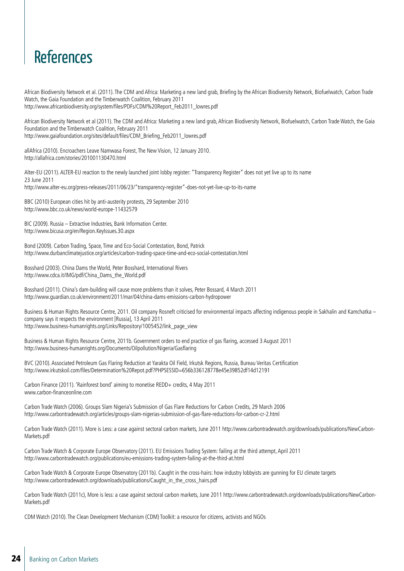### References

African Biodiversity Network et al. (2011). The CDM and Africa: Marketing a new land grab, Briefing by the African Biodiversity Network, Biofuelwatch, Carbon Trade Watch, the Gaia Foundation and the Timberwatch Coalition, February 2011 http://www.africanbiodiversity.org/system/files/PDFs/CDM%20Report\_Feb2011\_lowres.pdf

African Biodiversity Network et al (2011). The CDM and Africa: Marketing a new land grab, African Biodiversity Network, Biofuelwatch, Carbon Trade Watch, the Gaia Foundation and the Timberwatch Coalition, February 2011 http://www.gaiafoundation.org/sites/default/files/CDM\_Briefing\_Feb2011\_lowres.pdf

allAfrica (2010). Encroachers Leave Namwasa Forest, The New Vision, 12 January 2010. http://allafrica.com/stories/201001130470.html

Alter-EU (2011). ALTER-EU reaction to the newly launched joint lobby register: "Transparency Register" does not yet live up to its name 23 June 2011 http://www.alter-eu.org/press-releases/2011/06/23/"transparency-register"-does-not-yet-live-up-to-its-name

BBC (2010) European cities hit by anti-austerity protests, 29 September 2010 http://www.bbc.co.uk/news/world-europe-11432579

BIC (2009). Russia – Extractive Industries, Bank Information Center. http://www.bicusa.org/en/Region.KeyIssues.30.aspx

Bond (2009). Carbon Trading, Space, Time and Eco-Social Contestation, Bond, Patrick http://www.durbanclimatejustice.org/articles/carbon-trading-space-time-and-eco-social-contestation.html

Bosshard (2003). China Dams the World, Peter Bosshard, International Rivers http://www.cdca.it/IMG/pdf/China\_Dams\_the\_World.pdf

Bosshard (2011). China's dam-building will cause more problems than it solves, Peter Bossard, 4 March 2011 http://www.guardian.co.uk/environment/2011/mar/04/china-dams-emissions-carbon-hydropower

Business & Human Rights Resource Centre, 2011. Oil company Rosneft criticised for environmental impacts affecting indigenous people in Sakhalin and Kamchatka – company says it respects the environment [Russia], 13 April 2011 http://www.business-humanrights.org/Links/Repository/1005452/link\_page\_view

Business & Human Rights Resource Centre, 2011b. Government orders to end practice of gas flaring, accessed 3 August 2011 http://www.business-humanrights.org/Documents/Oilpollution/Nigeria/Gasflaring

BVC (2010). Associated Petroleum Gas Flaring Reduction at Yarakta Oil Field, Irkutsk Regions, Russia, Bureau Veritas Certification http://www.irkutskoil.com/files/Determination%20Repot.pdf?PHPSESSID=656b336128778e45e39852df14d12191

Carbon Finance (2011). 'Rainforest bond' aiming to monetise REDD+ credits, 4 May 2011 www.carbon-financeonline.com

Carbon Trade Watch (2006). Groups Slam Nigeria's Submission of Gas Flare Reductions for Carbon Credits, 29 March 2006 http://www.carbontradewatch.org/articles/groups-slam-nigerias-submission-of-gas-flare-reductions-for-carbon-cr-2.html

Carbon Trade Watch (2011). More is Less: a case against sectoral carbon markets, June 2011 http://www.carbontradewatch.org/downloads/publications/NewCarbon-Markets.pdf

Carbon Trade Watch & Corporate Europe Observatory (2011). EU Emissions Trading System: failing at the third attempt, April 2011 http://www.carbontradewatch.org/publications/eu-emissions-trading-system-failing-at-the-third-at.html

Carbon Trade Watch & Corporate Europe Observatory (2011b). Caught in the cross-hairs: how industry lobbyists are gunning for EU climate targets http://www.carbontradewatch.org/downloads/publications/Caught\_in\_the\_cross\_hairs.pdf

Carbon Trade Watch (2011c), More is less: a case against sectoral carbon markets, June 2011 http://www.carbontradewatch.org/downloads/publications/NewCarbon-Markets.pdf

CDM Watch (2010). The Clean Development Mechanism (CDM) Toolkit: a resource for citizens, activists and NGOs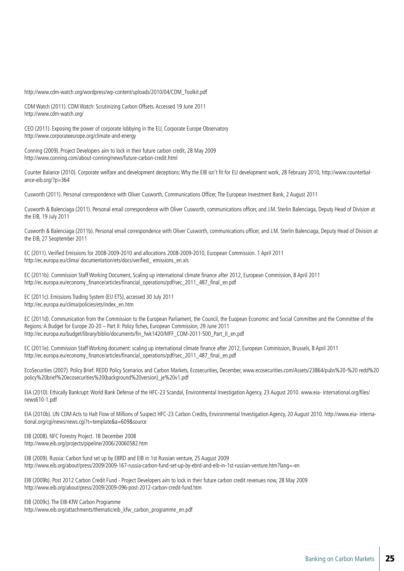http://www.cdm-watch.org/wordpress/wp-content/uploads/2010/04/CDM\_Toolkit.pdf

CDM Watch (2011). CDM Watch: Scrutinizing Carbon Offsets. Accessed 19 June 2011 http://www.cdm-watch.org/

CEO (2011). Exposing the power of corporate lobbying in the EU, Corporate Europe Observatory http://www.corporateeurope.org/climate-and-energy

Conning (2009). Project Developers aim to lock in their future carbon credit, 28 May 2009 http://www.conning.com/about-conning/news/future-carbon-credit.html

Counter Balance (2010). Corporate welfare and development deceptions: Why the EIB isn't fit for EU development work, 28 February 2010, http://www.counterbalance-eib.org/?p=364

Cusworth (2011). Personal correspondence with Oliver Cusworth, Communications Officer, The European Investment Bank, 2 August 2011

Cusworth & Balenciaga (2011). Personal email correspondence with Oliver Cusworth, communications officer, and J.M. Sterlin Balenciaga, Deputy Head of Division at the EIB, 19 July 2011

Cusworth & Balenciaga (2011b). Personal email correspondence with Oliver Cusworth, communications officer, and J.M. Sterlin Balenciaga, Deputy Head of Division at the EIB, 27 Seoptember 2011

EC (2011). Verified Emissions for 2008-2009-2010 and allocations 2008-2009-2010, European Commission. 1 April 2011 http://ec.europa.eu/clima/ documentation/ets/docs/verified\_ emissions\_en.xls

EC (2011b). Commission Staff Working Document, Scaling up international climate finance after 2012, European Commission, 8 April 2011 http://ec.europa.eu/economy\_finance/articles/financial\_operations/pdf/sec\_2011\_487\_final\_en.pdf

EC (2011c). Emissions Trading System (EU ETS), accessed 30 July 2011 http://ec.europa.eu/clima/policies/ets/index\_en.htm

EC (2011d). Communication from the Commission to the European Parliament, the Council, the Euopean Economic and Social Committee and the Committee of the Regions: A Budget for Europe 20-20 – Part II: Policy fiches, European Commission, 29 June 2011 http://ec.europa.eu/budget/library/biblio/documents/fin\_fwk1420/MFF\_COM-2011-500\_Part\_II\_en.pdf

EC (2011e). Commission Staff Working document: scaling up international climate finance after 2012, European Commission, Brussels, 8 April 2011 http://ec.europa.eu/economy\_finance/articles/financial\_operations/pdf/sec\_2011\_487\_final\_en.pdf

EcoSecurities (2007). Policy Brief: REDD Policy Scenarios and Carbon Markets, Ecosecurities, December, www.ecosecurities.com/Assets/23864/pubs%20-%20 redd%20 policy%20brief%20ecosecurities%20(background%20version)\_je%20v1.pdf

EIA (2010). Ethically Bankrupt: World Bank Defense of the HFC-23 Scandal, Environmental Investigation Agency, 23 August 2010. www.eia- international.org/files/ news610-1.pdf

EIA (2010b). UN CDM Acts to Halt Flow of Millions of Suspect HFC-23 Carbon Credits, Environmental Investigation Agency, 20 August 2010. http://www.eia- international.org/cgi/news/news.cgi?t=template&a=609&source

EIB (2008). NFC Forestry Project. 18 December 2008 http://www.eib.org/projects/pipeline/2006/20060582.htm

EIB (2009). Russia: Carbon fund set up by EBRD and EIB in 1st Russian venture, 25 August 2009 http://www.eib.org/about/press/2009/2009-167-russia-carbon-fund-set-up-by-ebrd-and-eib-in-1st-russian-venture.htm?lang=-en

EIB (2009b). Post 2012 Carbon Credit Fund - Project Developers aim to lock in their future carbon credit revenues now, 28 May 2009 http://www.eib.org/about/press/2009/2009-096-post-2012-carbon-credit-fund.htm

EIB (2009c). The EIB-KfW Carbon Programme http://www.eib.org/attachments/thematic/eib\_kfw\_carbon\_programme\_en.pdf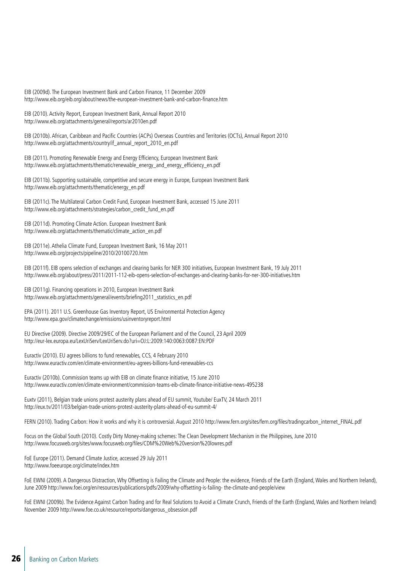EIB (2009d). The European Investment Bank and Carbon Finance, 11 December 2009 http://www.eib.org/eib.org/about/news/the-european-investment-bank-and-carbon-finance.htm

EIB (2010). Activity Report, European Investment Bank, Annual Report 2010 http://www.eib.org/attachments/general/reports/ar2010en.pdf

EIB (2010b). African, Caribbean and Pacific Countries (ACPs) Overseas Countries and Territories (OCTs), Annual Report 2010 http://www.eib.org/attachments/country/if\_annual\_report\_2010\_en.pdf

EIB (2011). Promoting Renewable Energy and Energy Efficiency, European Investment Bank http://www.eib.org/attachments/thematic/renewable\_energy\_and\_energy\_efficiency\_en.pdf

EIB (2011b). Supporting sustainable, competitive and secure energy in Europe, European Investment Bank http://www.eib.org/attachments/thematic/energy\_en.pdf

EIB (2011c). The Multilateral Carbon Credit Fund, European Investment Bank, accessed 15 June 2011 http://www.eib.org/attachments/strategies/carbon\_credit\_fund\_en.pdf

EIB (2011d). Promoting Climate Action. European Investment Bank http://www.eib.org/attachments/thematic/climate\_action\_en.pdf

EIB (2011e). Athelia Climate Fund, European Investment Bank, 16 May 2011 http://www.eib.org/projects/pipeline/2010/20100720.htm

EIB (2011f). EIB opens selection of exchanges and clearing banks for NER 300 initiatives, European Investment Bank, 19 July 2011 http://www.eib.org/about/press/2011/2011-112-eib-opens-selection-of-exchanges-and-clearing-banks-for-ner-300-initiatives.htm

EIB (2011g). Financing operations in 2010, European Investment Bank http://www.eib.org/attachments/general/events/briefing2011\_statistics\_en.pdf

EPA (2011). 2011 U.S. Greenhouse Gas Inventory Report, US Environmental Protection Agency http://www.epa.gov/climatechange/emissions/usinventoryreport.html

EU Directive (2009). Directive 2009/29/EC of the European Parliament and of the Council, 23 April 2009 http://eur-lex.europa.eu/LexUriServ/LexUriServ.do?uri=OJ:L:2009:140:0063:0087:EN:PDF

Euractiv (2010). EU agrees billions to fund renewables, CCS, 4 February 2010 http://www.euractiv.com/en/climate-environment/eu-agrees-billions-fund-renewables-ccs

Euractiv (2010b). Commission teams up with EIB on climate finance initiative, 15 June 2010 http://www.euractiv.com/en/climate-environment/commission-teams-eib-climate-finance-initiative-news-495238

Euxtv (2011), Belgian trade unions protest austerity plans ahead of EU summit, Youtube/ EuxTV, 24 March 2011 http://eux.tv/2011/03/belgian-trade-unions-protest-austerity-plans-ahead-of-eu-summit-4/

FERN (2010). Trading Carbon: How it works and why it is controversial. August 2010 http://www.fern.org/sites/fern.org/files/tradingcarbon\_internet\_FINAL.pdf

Focus on the Global South (2010). Costly Dirty Money-making schemes: The Clean Development Mechanism in the Philippines, June 2010 http://www.focusweb.org/sites/www.focusweb.org/files/CDM%20Web%20version%20lowres.pdf

FoE Europe (2011). Demand Climate Justice, accessed 29 July 2011 http://www.foeeurope.org/climate/index.htm

FoE EWNI (2009). A Dangerous Distraction, Why Offsetting is Failing the Climate and People: the evidence, Friends of the Earth (England, Wales and Northern Ireland), June 2009 http://www.foei.org/en/resources/publications/pdfs/2009/why-offsetting-is-failing- the-climate-and-people/view

FoE EWNI (2009b). The Evidence Against Carbon Trading and for Real Solutions to Avoid a Climate Crunch, Friends of the Earth (England, Wales and Northern Ireland) November 2009 http://www.foe.co.uk/resource/reports/dangerous\_obsession.pdf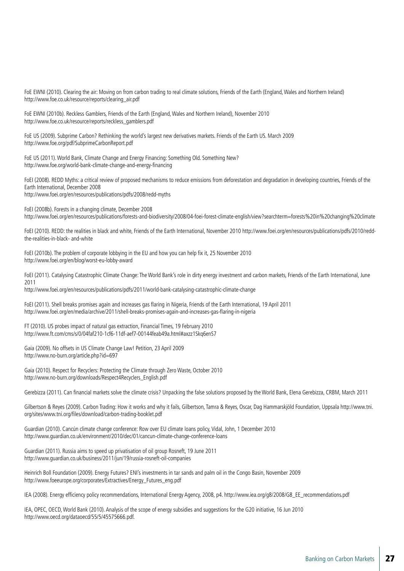FoE EWNI (2010). Clearing the air: Moving on from carbon trading to real climate solutions, Friends of the Earth (England, Wales and Northern Ireland) http://www.foe.co.uk/resource/reports/clearing\_air.pdf

FoE EWNI (2010b). Reckless Gamblers, Friends of the Earth (England, Wales and Northern Ireland), November 2010 http://www.foe.co.uk/resource/reports/reckless\_gamblers.pdf

FoE US (2009). Subprime Carbon? Rethinking the world's largest new derivatives markets. Friends of the Earth US. March 2009 http://www.foe.org/pdf/SubprimeCarbonReport.pdf

FoE US (2011). World Bank, Climate Change and Energy Financing: Something Old. Something New? http://www.foe.org/world-bank-climate-change-and-energy-financing

FoEI (2008). REDD Myths: a critical review of proposed mechanisms to reduce emissions from deforestation and degradation in developing countries, Friends of the Earth International, December 2008 http://www.foei.org/en/resources/publications/pdfs/2008/redd-myths

FoEI (2008b). Forests in a changing climate, December 2008 http://www.foei.org/en/resources/publications/forests-and-biodiversity/2008/04-foei-forest-climate-english/view?searchterm=forests%20in%20changing%20climate

FoEI (2010). REDD: the realities in black and white, Friends of the Earth International, November 2010 http://www.foei.org/en/resources/publications/pdfs/2010/reddthe-realities-in-black- and-white

FoEI (2010b). The problem of corporate lobbying in the EU and how you can help fix it, 25 November 2010 http://www.foei.org/en/blog/worst-eu-lobby-award

FoEI (2011). Catalysing Catastrophic Climate Change: The World Bank's role in dirty energy investment and carbon markets, Friends of the Earth International, June 2011

http://www.foei.org/en/resources/publications/pdfs/2011/world-bank-catalysing-catastrophic-climate-change

FoEI (2011). Shell breaks promises again and increases gas flaring in Nigeria, Friends of the Earth International, 19 April 2011 http://www.foei.org/en/media/archive/2011/shell-breaks-promises-again-and-increases-gas-flaring-in-nigeria

FT (2010). US probes impact of natural gas extraction, Financial Times, 19 February 2010 http://www.ft.com/cms/s/0/04faf210-1cf6-11df-aef7-00144feab49a.html#axzz1Skq6enS7

Gaia (2009). No offsets in US Climate Change Law! Petition, 23 April 2009 http://www.no-burn.org/article.php?id=697

Gaia (2010). Respect for Recyclers: Protecting the Climate through Zero Waste, October 2010 http://www.no-burn.org/downloads/Respect4Recyclers\_English.pdf

Gerebizza (2011). Can financial markets solve the climate crisis? Unpacking the false solutions proposed by the World Bank, Elena Gerebizza, CRBM, March 2011

Gilbertson & Reyes (2009). Carbon Trading: How it works and why it fails, Gilbertson, Tamra & Reyes, Oscar, Dag Hammarskjöld Foundation, Uppsala http://www.tni. org/sites/www.tni.org/files/download/carbon-trading-booklet.pdf

Guardian (2010). Cancún climate change conference: Row over EU climate loans policy, Vidal, John, 1 December 2010 http://www.guardian.co.uk/environment/2010/dec/01/cancun-climate-change-conference-loans

Guardian (2011). Russia aims to speed up privatisation of oil group Rosneft, 19 June 2011 http://www.guardian.co.uk/business/2011/jun/19/russia-rosneft-oil-companies

Heinrich Boll Foundation (2009). Energy Futures? ENI's investments in tar sands and palm oil in the Congo Basin, November 2009 http://www.foeeurope.org/corporates/Extractives/Energy\_Futures\_eng.pdf

IEA (2008). Energy efficiency policy recommendations, International Energy Agency, 2008, p4. http://www.iea.org/g8/2008/G8\_EE\_recommendations.pdf

IEA, OPEC, OECD, World Bank (2010). Analysis of the scope of energy subsidies and suggestions for the G20 initiative, 16 Jun 2010 http://www.oecd.org/dataoecd/55/5/45575666.pdf.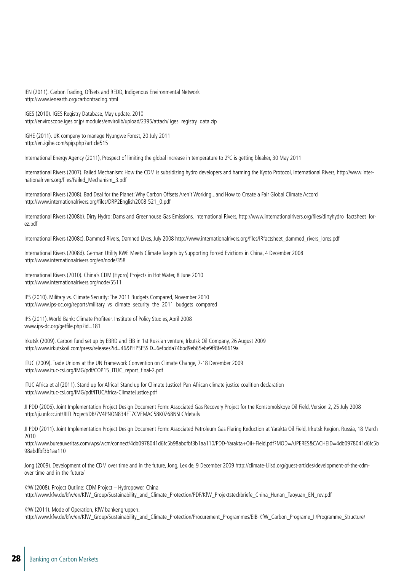IEN (2011). Carbon Trading, Offsets and REDD, Indigenous Environmental Network http://www.ienearth.org/carbontrading.html

IGES (2010). IGES Registry Database, May update, 2010 http://enviroscope.iges.or.jp/ modules/envirolib/upload/2395/attach/ iges\_registry\_data.zip

IGHE (2011). UK company to manage Nyungwe Forest, 20 July 2011 http://en.igihe.com/spip.php?article515

International Energy Agency (2011), Prospect of limiting the global increase in temperature to 2ºC is getting bleaker, 30 May 2011

International Rivers (2007). Failed Mechanism: How the CDM is subsidizing hydro developers and harming the Kyoto Protocol, International Rivers, http://www.internationalrivers.org/files/Failed\_Mechanism\_3.pdf

International Rivers (2008). Bad Deal for the Planet: Why Carbon Offsets Aren't Working...and How to Create a Fair Global Climate Accord http://www.internationalrivers.org/files/DRP2English2008-521\_0.pdf

International Rivers (2008b). Dirty Hydro: Dams and Greenhouse Gas Emissions, International Rivers, http://www.internationalrivers.org/files/dirtyhydro\_factsheet\_lorez.pdf

International Rivers (2008c). Dammed Rivers, Damned Lives, July 2008 http://www.internationalrivers.org/files/IRfactsheet\_dammed\_rivers\_lores.pdf

International Rivers (2008d). German Utility RWE Meets Climate Targets by Supporting Forced Evictions in China, 4 December 2008 http://www.internationalrivers.org/en/node/358

International Rivers (2010). China's CDM (Hydro) Projects in Hot Water, 8 June 2010 http://www.internationalrivers.org/node/5511

IPS (2010). Military vs. Climate Security: The 2011 Budgets Compared, November 2010 http://www.ips-dc.org/reports/military\_vs\_climate\_security\_the\_2011\_budgets\_compared

IPS (2011). World Bank: Climate Profiteer. Institute of Policy Studies, April 2008 www.ips-dc.org/getfile.php?id=181

Irkutsk (2009). Carbon fund set up by EBRD and EIB in 1st Russian venture, Irkutsk Oil Company, 26 August 2009 http://www.irkutskoil.com/press/releases?id=46&PHPSESSID=6efbdda74bbd9eb65ebe9ff8fe96619a

ITUC (2009). Trade Unions at the UN Framework Convention on Climate Change, 7-18 December 2009 http://www.ituc-csi.org/IMG/pdf/COP15\_ITUC\_report\_final-2.pdf

ITUC Africa et al (2011). Stand up for Africa! Stand up for Climate Justice! Pan-African climate justice coalition declaration http://www.ituc-csi.org/IMG/pdf/ITUCAfrica-ClimateJustice.pdf

JI PDD (2006). Joint Implementation Project Design Document Form: Associated Gas Recovery Project for the Komsomolskoye Oil Field, Version 2, 25 July 2008 http://ji.unfccc.int/JIITLProject/DB/7V4PNON834FT7CVEMAC58K0Z68NSLC/details

JI PDD (2011). Joint Implementation Project Design Document Form: Associated Petroleum Gas Flaring Reduction at Yarakta Oil Field, Irkutsk Region, Russia, 18 March 2010

http://www.bureauveritas.com/wps/wcm/connect/4db0978041d6fc5b98abdfbf3b1aa110/PDD-Yarakta+Oil+Field.pdf?MOD=AJPERES&CACHEID=4db0978041d6fc5b 98abdfbf3b1aa110

Jong (2009). Development of the CDM over time and in the future, Jong, Lex de, 9 December 2009 http://climate-l.iisd.org/guest-articles/development-of-the-cdmover-time-and-in-the-future/

KfW (2008). Project Outline: CDM Project – Hydropower, China http://www.kfw.de/kfw/en/KfW\_Group/Sustainability\_and\_Climate\_Protection/PDF/KfW\_Projektsteckbriefe\_China\_Hunan\_Taoyuan\_EN\_rev.pdf

KfW (2011). Mode of Operation, KfW bankengruppen.

http://www.kfw.de/kfw/en/KfW\_Group/Sustainability\_and\_Climate\_Protection/Procurement\_Programmes/EIB-KfW\_Carbon\_Programe\_II/Programme\_Structure/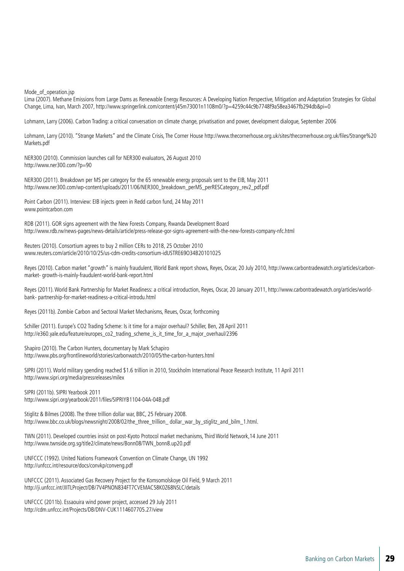Mode of operation.jsp

Lima (2007). Methane Emissions from Large Dams as Renewable Energy Resources: A Developing Nation Perspective, Mitigation and Adaptation Strategies for Global Change, Lima, Ivan, March 2007, http://www.springerlink.com/content/j45m73001n1108m0/?p=4259c44c9b7748f9a58ea3467fb294db&pi=0

Lohmann, Larry (2006). Carbon Trading: a critical conversation on climate change, privatisation and power, development dialogue, September 2006

Lohmann, Larry (2010). "Strange Markets" and the Climate Crisis, The Corner House http://www.thecornerhouse.org.uk/sites/thecornerhouse.org.uk/files/Strange%20 Markets.pdf

NER300 (2010). Commission launches call for NER300 evaluators, 26 August 2010 http://www.ner300.com/?p=90

NER300 (2011). Breakdown per MS per category for the 65 renewable energy proposals sent to the EIB, May 2011 http://www.ner300.com/wp-content/uploads/2011/06/NER300\_breakdown\_perMS\_perRESCategory\_rev2\_pdf.pdf

Point Carbon (2011). Interview: EIB injects green in Redd carbon fund, 24 May 2011 www.pointcarbon.com

RDB (2011). GOR signs agreement with the New Forests Company, Rwanda Development Board http://www.rdb.rw/news-pages/news-details/article/press-release-gor-signs-agreement-with-the-new-forests-company-nfc.html

Reuters (2010). Consortium agrees to buy 2 million CERs to 2018, 25 October 2010 www.reuters.com/article/2010/10/25/us-cdm-credits-consortium-idUSTRE69O34B20101025

Reyes (2010). Carbon market "growth" is mainly fraudulent, World Bank report shows, Reyes, Oscar, 20 July 2010, http://www.carbontradewatch.org/articles/carbonmarket- growth-is-mainly-fraudulent-world-bank-report.html

Reyes (2011). World Bank Partnership for Market Readiness: a critical introduction, Reyes, Oscar, 20 January 2011, http://www.carbontradewatch.org/articles/worldbank- partnership-for-market-readiness-a-critical-introdu.html

Reyes (2011b). Zombie Carbon and Sectoral Market Mechanisms, Reues, Oscar, forthcoming

Schiller (2011). Europe's CO2 Trading Scheme: Is it time for a major overhaul? Schiller, Ben, 28 April 2011 http://e360.yale.edu/feature/europes\_co2\_trading\_scheme\_is\_it\_time\_for\_a\_major\_overhaul/2396

Shapiro (2010). The Carbon Hunters, documentary by Mark Schapiro http://www.pbs.org/frontlineworld/stories/carbonwatch/2010/05/the-carbon-hunters.html

SIPRI (2011). World military spending reached \$1.6 trillion in 2010, Stockholm International Peace Research Institute, 11 April 2011 http://www.sipri.org/media/pressreleases/milex

SIPRI (2011b). SIPRI Yearbook 2011 http://www.sipri.org/yearbook/2011/files/SIPRIYB1104-04A-04B.pdf

Stiglitz & Bilmes (2008). The three trillion dollar war, BBC, 25 February 2008. http://www.bbc.co.uk/blogs/newsnight/2008/02/the\_three\_trillion\_dollar\_war\_by\_stiglitz\_and\_bilm\_1.html.

TWN (2011). Developed countries insist on post-Kyoto Protocol market mechanisms, Third World Network,14 June 2011 http://www.twnside.org.sg/title2/climate/news/Bonn08/TWN\_bonn8.up20.pdf

UNFCCC (1992). United Nations Framework Convention on Climate Change, UN 1992 http://unfccc.int/resource/docs/convkp/conveng.pdf

UNFCCC (2011). Associated Gas Recovery Project for the Komsomolskoye Oil Field, 9 March 2011 http://ji.unfccc.int/JIITLProject/DB/7V4PNON834FT7CVEMAC58K0Z68NSLC/details

UNFCCC (2011b). Essaouira wind power project, accessed 29 July 2011 http://cdm.unfccc.int/Projects/DB/DNV-CUK1114607705.27/view